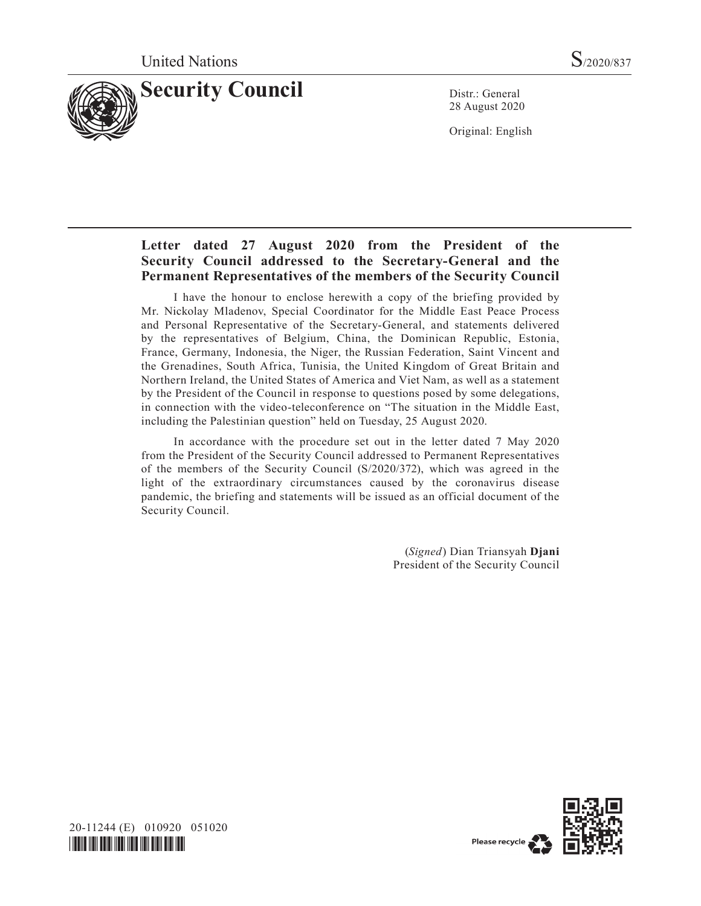

28 August 2020

Original: English

# **Letter dated 27 August 2020 from the President of the Security Council addressed to the Secretary-General and the Permanent Representatives of the members of the Security Council**

I have the honour to enclose herewith a copy of the briefing provided by Mr. Nickolay Mladenov, Special Coordinator for the Middle East Peace Process and Personal Representative of the Secretary-General, and statements delivered by the representatives of Belgium, China, the Dominican Republic, Estonia, France, Germany, Indonesia, the Niger, the Russian Federation, Saint Vincent and the Grenadines, South Africa, Tunisia, the United Kingdom of Great Britain and Northern Ireland, the United States of America and Viet Nam, as well as a statement by the President of the Council in response to questions posed by some delegations, in connection with the video-teleconference on "The situation in the Middle East, including the Palestinian question" held on Tuesday, 25 August 2020.

In accordance with the procedure set out in the letter dated 7 May 2020 from the President of the Security Council addressed to Permanent Representatives of the members of the Security Council (S/2020/372), which was agreed in the light of the extraordinary circumstances caused by the coronavirus disease pandemic, the briefing and statements will be issued as an official document of the Security Council.

> (*Signed*) Dian Triansyah **Djani** President of the Security Council



20-11244 (E) 010920 051020 *\*2011244\**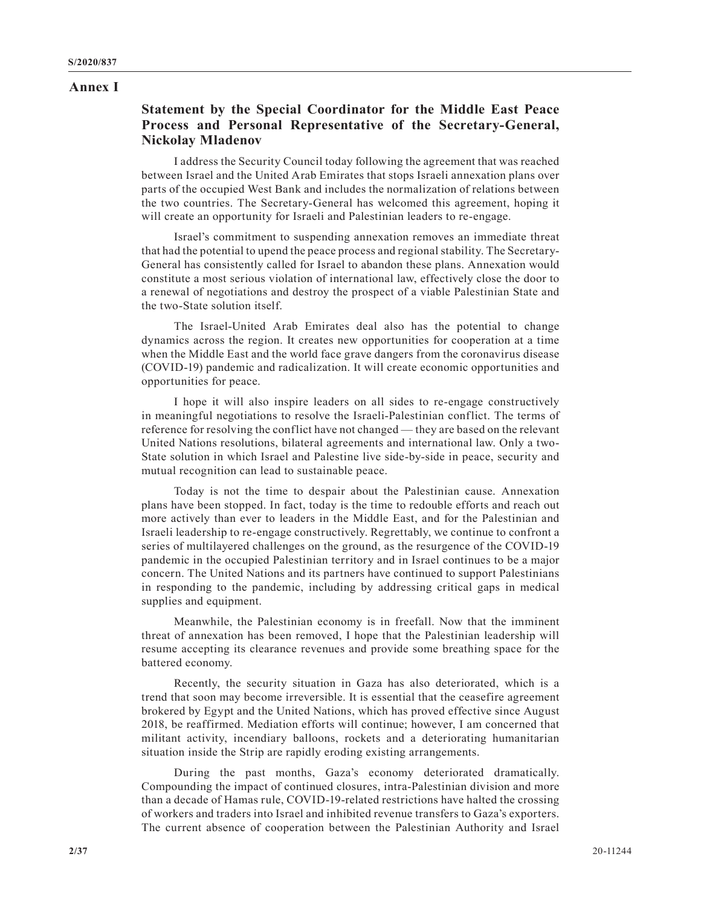#### **Annex I**

# **Statement by the Special Coordinator for the Middle East Peace Process and Personal Representative of the Secretary-General, Nickolay Mladenov**

I address the Security Council today following the agreement that was reached between Israel and the United Arab Emirates that stops Israeli annexation plans over parts of the occupied West Bank and includes the normalization of relations between the two countries. The Secretary-General has welcomed this agreement, hoping it will create an opportunity for Israeli and Palestinian leaders to re-engage.

Israel's commitment to suspending annexation removes an immediate threat that had the potential to upend the peace process and regional stability. The Secretary-General has consistently called for Israel to abandon these plans. Annexation would constitute a most serious violation of international law, effectively close the door to a renewal of negotiations and destroy the prospect of a viable Palestinian State and the two-State solution itself.

The Israel-United Arab Emirates deal also has the potential to change dynamics across the region. It creates new opportunities for cooperation at a time when the Middle East and the world face grave dangers from the coronavirus disease (COVID-19) pandemic and radicalization. It will create economic opportunities and opportunities for peace.

I hope it will also inspire leaders on all sides to re-engage constructively in meaningful negotiations to resolve the Israeli-Palestinian conflict. The terms of reference for resolving the conflict have not changed — they are based on the relevant United Nations resolutions, bilateral agreements and international law. Only a two-State solution in which Israel and Palestine live side-by-side in peace, security and mutual recognition can lead to sustainable peace.

Today is not the time to despair about the Palestinian cause. Annexation plans have been stopped. In fact, today is the time to redouble efforts and reach out more actively than ever to leaders in the Middle East, and for the Palestinian and Israeli leadership to re-engage constructively. Regrettably, we continue to confront a series of multilayered challenges on the ground, as the resurgence of the COVID-19 pandemic in the occupied Palestinian territory and in Israel continues to be a major concern. The United Nations and its partners have continued to support Palestinians in responding to the pandemic, including by addressing critical gaps in medical supplies and equipment.

Meanwhile, the Palestinian economy is in freefall. Now that the imminent threat of annexation has been removed, I hope that the Palestinian leadership will resume accepting its clearance revenues and provide some breathing space for the battered economy.

Recently, the security situation in Gaza has also deteriorated, which is a trend that soon may become irreversible. It is essential that the ceasefire agreement brokered by Egypt and the United Nations, which has proved effective since August 2018, be reaffirmed. Mediation efforts will continue; however, I am concerned that militant activity, incendiary balloons, rockets and a deteriorating humanitarian situation inside the Strip are rapidly eroding existing arrangements.

During the past months, Gaza's economy deteriorated dramatically. Compounding the impact of continued closures, intra-Palestinian division and more than a decade of Hamas rule, COVID-19-related restrictions have halted the crossing of workers and traders into Israel and inhibited revenue transfers to Gaza's exporters. The current absence of cooperation between the Palestinian Authority and Israel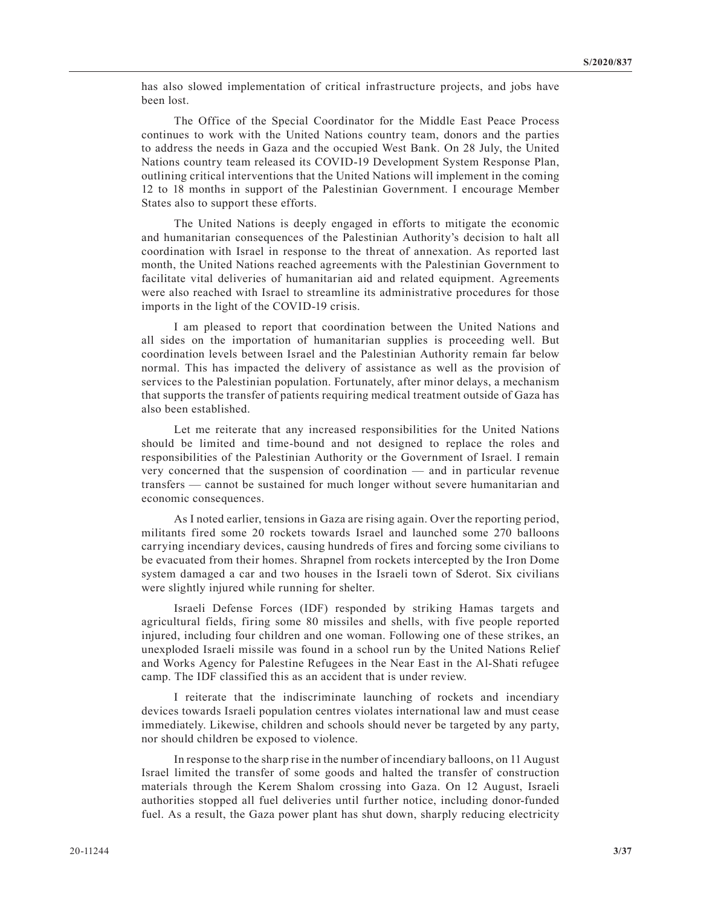has also slowed implementation of critical infrastructure projects, and jobs have been lost.

The Office of the Special Coordinator for the Middle East Peace Process continues to work with the United Nations country team, donors and the parties to address the needs in Gaza and the occupied West Bank. On 28 July, the United Nations country team released its COVID-19 Development System Response Plan, outlining critical interventions that the United Nations will implement in the coming 12 to 18 months in support of the Palestinian Government. I encourage Member States also to support these efforts.

The United Nations is deeply engaged in efforts to mitigate the economic and humanitarian consequences of the Palestinian Authority's decision to halt all coordination with Israel in response to the threat of annexation. As reported last month, the United Nations reached agreements with the Palestinian Government to facilitate vital deliveries of humanitarian aid and related equipment. Agreements were also reached with Israel to streamline its administrative procedures for those imports in the light of the COVID-19 crisis.

I am pleased to report that coordination between the United Nations and all sides on the importation of humanitarian supplies is proceeding well. But coordination levels between Israel and the Palestinian Authority remain far below normal. This has impacted the delivery of assistance as well as the provision of services to the Palestinian population. Fortunately, after minor delays, a mechanism that supports the transfer of patients requiring medical treatment outside of Gaza has also been established.

Let me reiterate that any increased responsibilities for the United Nations should be limited and time-bound and not designed to replace the roles and responsibilities of the Palestinian Authority or the Government of Israel. I remain very concerned that the suspension of coordination — and in particular revenue transfers — cannot be sustained for much longer without severe humanitarian and economic consequences.

As I noted earlier, tensions in Gaza are rising again. Over the reporting period, militants fired some 20 rockets towards Israel and launched some 270 balloons carrying incendiary devices, causing hundreds of fires and forcing some civilians to be evacuated from their homes. Shrapnel from rockets intercepted by the Iron Dome system damaged a car and two houses in the Israeli town of Sderot. Six civilians were slightly injured while running for shelter.

Israeli Defense Forces (IDF) responded by striking Hamas targets and agricultural fields, firing some 80 missiles and shells, with five people reported injured, including four children and one woman. Following one of these strikes, an unexploded Israeli missile was found in a school run by the United Nations Relief and Works Agency for Palestine Refugees in the Near East in the Al-Shati refugee camp. The IDF classified this as an accident that is under review.

I reiterate that the indiscriminate launching of rockets and incendiary devices towards Israeli population centres violates international law and must cease immediately. Likewise, children and schools should never be targeted by any party, nor should children be exposed to violence.

In response to the sharp rise in the number of incendiary balloons, on 11 August Israel limited the transfer of some goods and halted the transfer of construction materials through the Kerem Shalom crossing into Gaza. On 12 August, Israeli authorities stopped all fuel deliveries until further notice, including donor-funded fuel. As a result, the Gaza power plant has shut down, sharply reducing electricity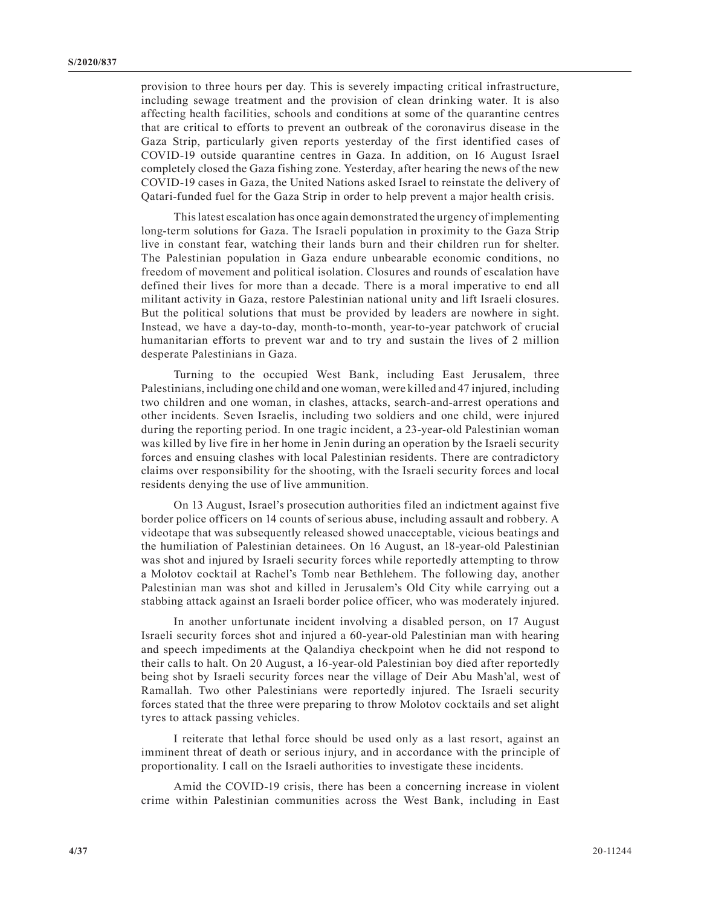provision to three hours per day. This is severely impacting critical infrastructure, including sewage treatment and the provision of clean drinking water. It is also affecting health facilities, schools and conditions at some of the quarantine centres that are critical to efforts to prevent an outbreak of the coronavirus disease in the Gaza Strip, particularly given reports yesterday of the first identified cases of COVID-19 outside quarantine centres in Gaza. In addition, on 16 August Israel completely closed the Gaza fishing zone. Yesterday, after hearing the news of the new COVID-19 cases in Gaza, the United Nations asked Israel to reinstate the delivery of Qatari-funded fuel for the Gaza Strip in order to help prevent a major health crisis.

This latest escalation has once again demonstrated the urgency of implementing long-term solutions for Gaza. The Israeli population in proximity to the Gaza Strip live in constant fear, watching their lands burn and their children run for shelter. The Palestinian population in Gaza endure unbearable economic conditions, no freedom of movement and political isolation. Closures and rounds of escalation have defined their lives for more than a decade. There is a moral imperative to end all militant activity in Gaza, restore Palestinian national unity and lift Israeli closures. But the political solutions that must be provided by leaders are nowhere in sight. Instead, we have a day-to-day, month-to-month, year-to-year patchwork of crucial humanitarian efforts to prevent war and to try and sustain the lives of 2 million desperate Palestinians in Gaza.

Turning to the occupied West Bank, including East Jerusalem, three Palestinians, including one child and one woman, were killed and 47 injured, including two children and one woman, in clashes, attacks, search-and-arrest operations and other incidents. Seven Israelis, including two soldiers and one child, were injured during the reporting period. In one tragic incident, a 23-year-old Palestinian woman was killed by live fire in her home in Jenin during an operation by the Israeli security forces and ensuing clashes with local Palestinian residents. There are contradictory claims over responsibility for the shooting, with the Israeli security forces and local residents denying the use of live ammunition.

On 13 August, Israel's prosecution authorities filed an indictment against five border police officers on 14 counts of serious abuse, including assault and robbery. A videotape that was subsequently released showed unacceptable, vicious beatings and the humiliation of Palestinian detainees. On 16 August, an 18-year-old Palestinian was shot and injured by Israeli security forces while reportedly attempting to throw a Molotov cocktail at Rachel's Tomb near Bethlehem. The following day, another Palestinian man was shot and killed in Jerusalem's Old City while carrying out a stabbing attack against an Israeli border police officer, who was moderately injured.

In another unfortunate incident involving a disabled person, on 17 August Israeli security forces shot and injured a 60-year-old Palestinian man with hearing and speech impediments at the Qalandiya checkpoint when he did not respond to their calls to halt. On 20 August, a 16-year-old Palestinian boy died after reportedly being shot by Israeli security forces near the village of Deir Abu Mash'al, west of Ramallah. Two other Palestinians were reportedly injured. The Israeli security forces stated that the three were preparing to throw Molotov cocktails and set alight tyres to attack passing vehicles.

I reiterate that lethal force should be used only as a last resort, against an imminent threat of death or serious injury, and in accordance with the principle of proportionality. I call on the Israeli authorities to investigate these incidents.

Amid the COVID-19 crisis, there has been a concerning increase in violent crime within Palestinian communities across the West Bank, including in East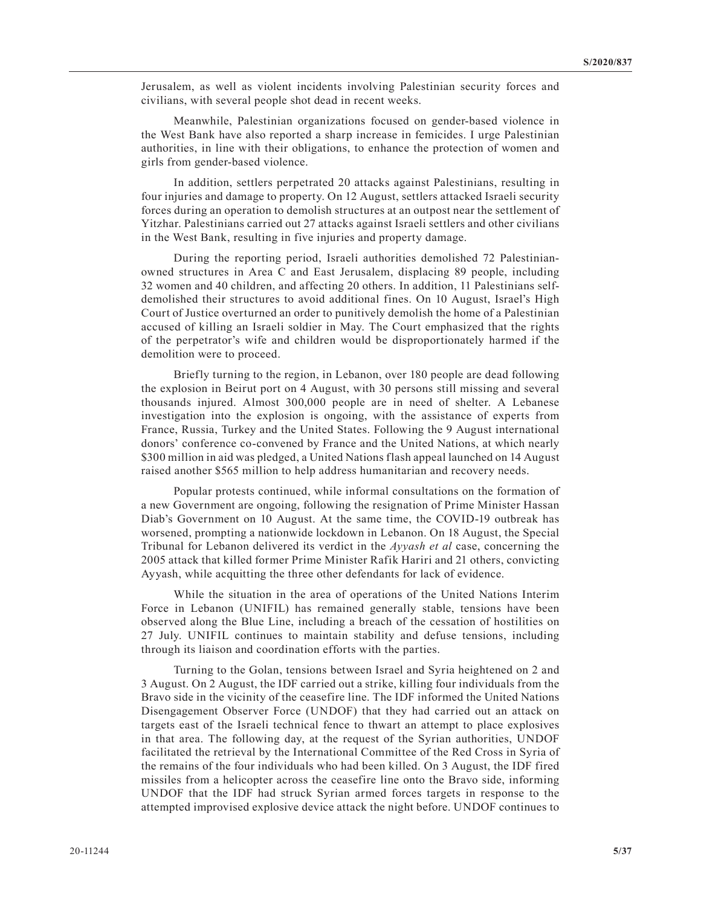Jerusalem, as well as violent incidents involving Palestinian security forces and civilians, with several people shot dead in recent weeks.

Meanwhile, Palestinian organizations focused on gender-based violence in the West Bank have also reported a sharp increase in femicides. I urge Palestinian authorities, in line with their obligations, to enhance the protection of women and girls from gender-based violence.

In addition, settlers perpetrated 20 attacks against Palestinians, resulting in four injuries and damage to property. On 12 August, settlers attacked Israeli security forces during an operation to demolish structures at an outpost near the settlement of Yitzhar. Palestinians carried out 27 attacks against Israeli settlers and other civilians in the West Bank, resulting in five injuries and property damage.

During the reporting period, Israeli authorities demolished 72 Palestinianowned structures in Area C and East Jerusalem, displacing 89 people, including 32 women and 40 children, and affecting 20 others. In addition, 11 Palestinians selfdemolished their structures to avoid additional fines. On 10 August, Israel's High Court of Justice overturned an order to punitively demolish the home of a Palestinian accused of killing an Israeli soldier in May. The Court emphasized that the rights of the perpetrator's wife and children would be disproportionately harmed if the demolition were to proceed.

Briefly turning to the region, in Lebanon, over 180 people are dead following the explosion in Beirut port on 4 August, with 30 persons still missing and several thousands injured. Almost 300,000 people are in need of shelter. A Lebanese investigation into the explosion is ongoing, with the assistance of experts from France, Russia, Turkey and the United States. Following the 9 August international donors' conference co-convened by France and the United Nations, at which nearly \$300 million in aid was pledged, a United Nations flash appeal launched on 14 August raised another \$565 million to help address humanitarian and recovery needs.

Popular protests continued, while informal consultations on the formation of a new Government are ongoing, following the resignation of Prime Minister Hassan Diab's Government on 10 August. At the same time, the COVID-19 outbreak has worsened, prompting a nationwide lockdown in Lebanon. On 18 August, the Special Tribunal for Lebanon delivered its verdict in the *Ayyash et al* case, concerning the 2005 attack that killed former Prime Minister Rafik Hariri and 21 others, convicting Ayyash, while acquitting the three other defendants for lack of evidence.

While the situation in the area of operations of the United Nations Interim Force in Lebanon (UNIFIL) has remained generally stable, tensions have been observed along the Blue Line, including a breach of the cessation of hostilities on 27 July. UNIFIL continues to maintain stability and defuse tensions, including through its liaison and coordination efforts with the parties.

Turning to the Golan, tensions between Israel and Syria heightened on 2 and 3 August. On 2 August, the IDF carried out a strike, killing four individuals from the Bravo side in the vicinity of the ceasefire line. The IDF informed the United Nations Disengagement Observer Force (UNDOF) that they had carried out an attack on targets east of the Israeli technical fence to thwart an attempt to place explosives in that area. The following day, at the request of the Syrian authorities, UNDOF facilitated the retrieval by the International Committee of the Red Cross in Syria of the remains of the four individuals who had been killed. On 3 August, the IDF fired missiles from a helicopter across the ceasefire line onto the Bravo side, informing UNDOF that the IDF had struck Syrian armed forces targets in response to the attempted improvised explosive device attack the night before. UNDOF continues to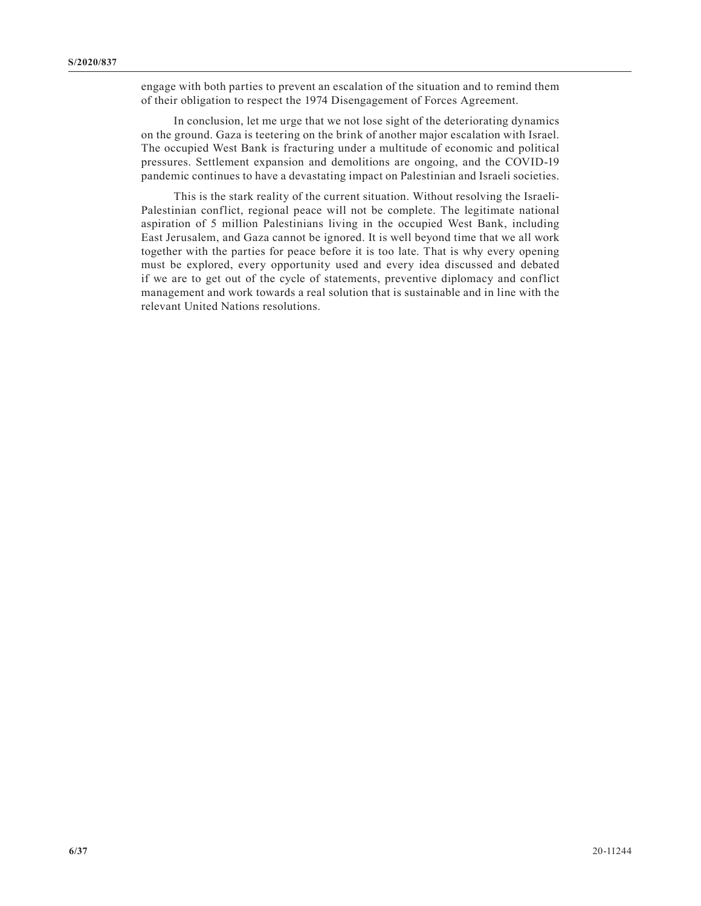engage with both parties to prevent an escalation of the situation and to remind them of their obligation to respect the 1974 Disengagement of Forces Agreement.

In conclusion, let me urge that we not lose sight of the deteriorating dynamics on the ground. Gaza is teetering on the brink of another major escalation with Israel. The occupied West Bank is fracturing under a multitude of economic and political pressures. Settlement expansion and demolitions are ongoing, and the COVID-19 pandemic continues to have a devastating impact on Palestinian and Israeli societies.

This is the stark reality of the current situation. Without resolving the Israeli-Palestinian conflict, regional peace will not be complete. The legitimate national aspiration of 5 million Palestinians living in the occupied West Bank, including East Jerusalem, and Gaza cannot be ignored. It is well beyond time that we all work together with the parties for peace before it is too late. That is why every opening must be explored, every opportunity used and every idea discussed and debated if we are to get out of the cycle of statements, preventive diplomacy and conflict management and work towards a real solution that is sustainable and in line with the relevant United Nations resolutions.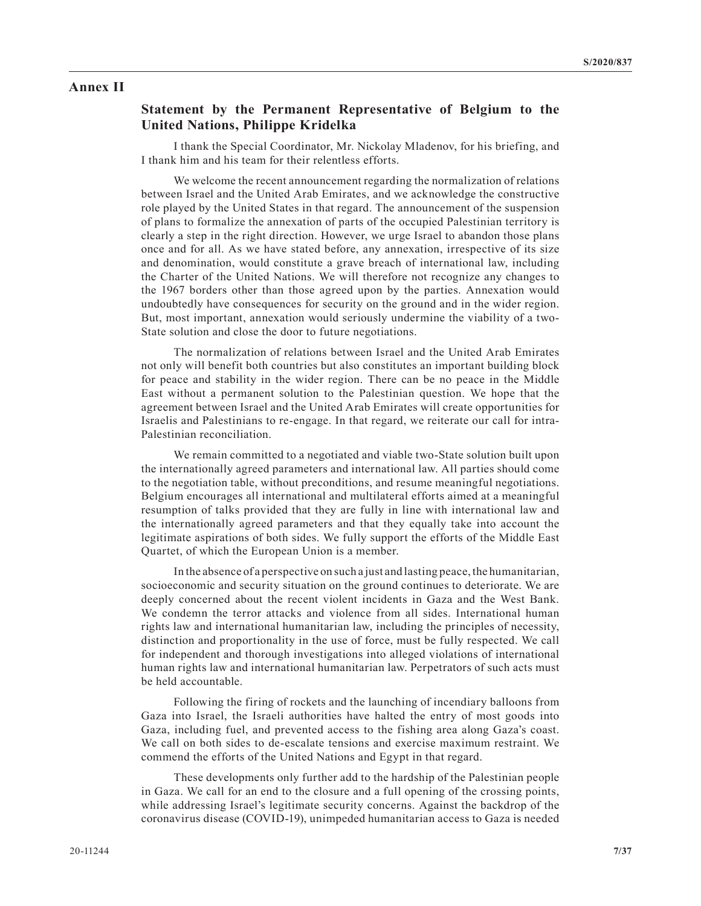#### **Annex II**

# **Statement by the Permanent Representative of Belgium to the United Nations, Philippe Kridelka**

I thank the Special Coordinator, Mr. Nickolay Mladenov, for his briefing, and I thank him and his team for their relentless efforts.

We welcome the recent announcement regarding the normalization of relations between Israel and the United Arab Emirates, and we acknowledge the constructive role played by the United States in that regard. The announcement of the suspension of plans to formalize the annexation of parts of the occupied Palestinian territory is clearly a step in the right direction. However, we urge Israel to abandon those plans once and for all. As we have stated before, any annexation, irrespective of its size and denomination, would constitute a grave breach of international law, including the Charter of the United Nations. We will therefore not recognize any changes to the 1967 borders other than those agreed upon by the parties. Annexation would undoubtedly have consequences for security on the ground and in the wider region. But, most important, annexation would seriously undermine the viability of a two-State solution and close the door to future negotiations.

The normalization of relations between Israel and the United Arab Emirates not only will benefit both countries but also constitutes an important building block for peace and stability in the wider region. There can be no peace in the Middle East without a permanent solution to the Palestinian question. We hope that the agreement between Israel and the United Arab Emirates will create opportunities for Israelis and Palestinians to re-engage. In that regard, we reiterate our call for intra-Palestinian reconciliation.

We remain committed to a negotiated and viable two-State solution built upon the internationally agreed parameters and international law. All parties should come to the negotiation table, without preconditions, and resume meaningful negotiations. Belgium encourages all international and multilateral efforts aimed at a meaningful resumption of talks provided that they are fully in line with international law and the internationally agreed parameters and that they equally take into account the legitimate aspirations of both sides. We fully support the efforts of the Middle East Quartet, of which the European Union is a member.

In the absence of a perspective on such a just and lasting peace, the humanitarian, socioeconomic and security situation on the ground continues to deteriorate. We are deeply concerned about the recent violent incidents in Gaza and the West Bank. We condemn the terror attacks and violence from all sides. International human rights law and international humanitarian law, including the principles of necessity, distinction and proportionality in the use of force, must be fully respected. We call for independent and thorough investigations into alleged violations of international human rights law and international humanitarian law. Perpetrators of such acts must be held accountable.

Following the firing of rockets and the launching of incendiary balloons from Gaza into Israel, the Israeli authorities have halted the entry of most goods into Gaza, including fuel, and prevented access to the fishing area along Gaza's coast. We call on both sides to de-escalate tensions and exercise maximum restraint. We commend the efforts of the United Nations and Egypt in that regard.

These developments only further add to the hardship of the Palestinian people in Gaza. We call for an end to the closure and a full opening of the crossing points, while addressing Israel's legitimate security concerns. Against the backdrop of the coronavirus disease (COVID-19), unimpeded humanitarian access to Gaza is needed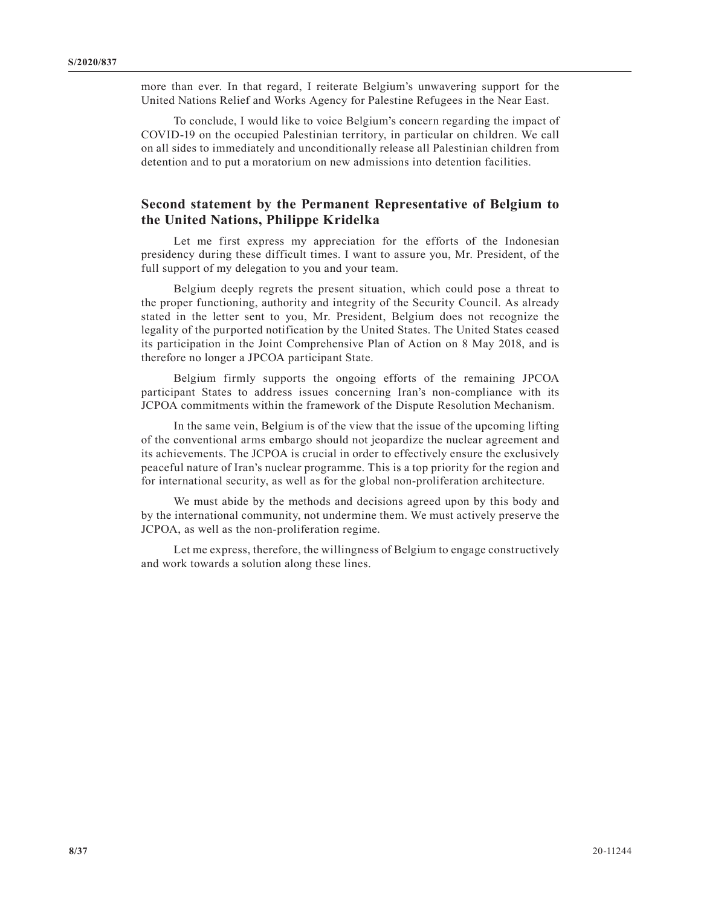more than ever. In that regard, I reiterate Belgium's unwavering support for the United Nations Relief and Works Agency for Palestine Refugees in the Near East.

To conclude, I would like to voice Belgium's concern regarding the impact of COVID-19 on the occupied Palestinian territory, in particular on children. We call on all sides to immediately and unconditionally release all Palestinian children from detention and to put a moratorium on new admissions into detention facilities.

## **Second statement by the Permanent Representative of Belgium to the United Nations, Philippe Kridelka**

Let me first express my appreciation for the efforts of the Indonesian presidency during these difficult times. I want to assure you, Mr. President, of the full support of my delegation to you and your team.

Belgium deeply regrets the present situation, which could pose a threat to the proper functioning, authority and integrity of the Security Council. As already stated in the letter sent to you, Mr. President, Belgium does not recognize the legality of the purported notification by the United States. The United States ceased its participation in the Joint Comprehensive Plan of Action on 8 May 2018, and is therefore no longer a JPCOA participant State.

Belgium firmly supports the ongoing efforts of the remaining JPCOA participant States to address issues concerning Iran's non-compliance with its JCPOA commitments within the framework of the Dispute Resolution Mechanism.

In the same vein, Belgium is of the view that the issue of the upcoming lifting of the conventional arms embargo should not jeopardize the nuclear agreement and its achievements. The JCPOA is crucial in order to effectively ensure the exclusively peaceful nature of Iran's nuclear programme. This is a top priority for the region and for international security, as well as for the global non-proliferation architecture.

We must abide by the methods and decisions agreed upon by this body and by the international community, not undermine them. We must actively preserve the JCPOA, as well as the non-proliferation regime.

Let me express, therefore, the willingness of Belgium to engage constructively and work towards a solution along these lines.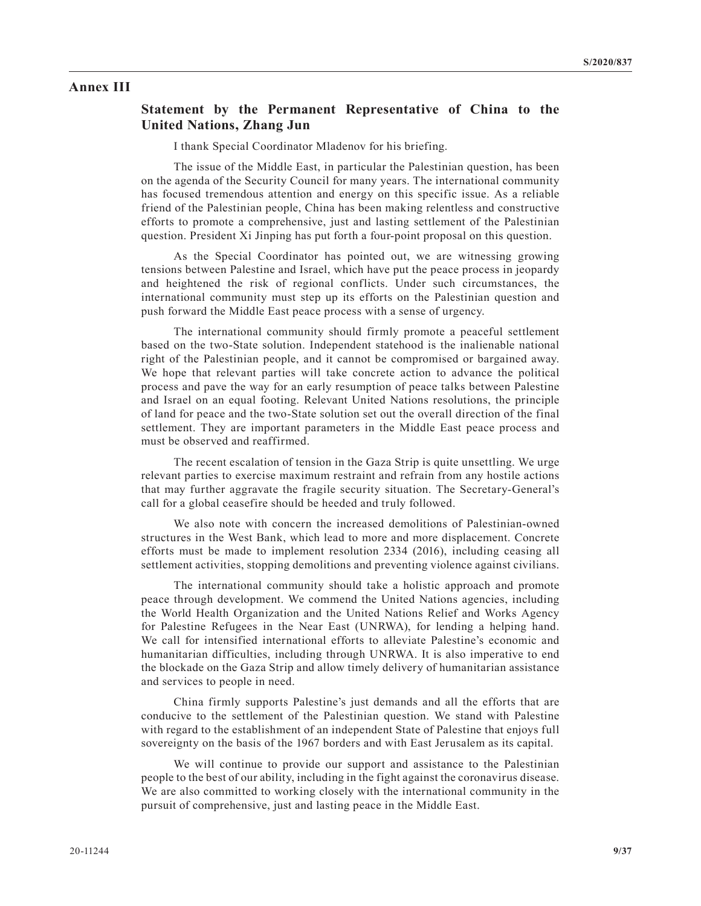#### **Annex III**

#### **Statement by the Permanent Representative of China to the United Nations, Zhang Jun**

I thank Special Coordinator Mladenov for his briefing.

The issue of the Middle East, in particular the Palestinian question, has been on the agenda of the Security Council for many years. The international community has focused tremendous attention and energy on this specific issue. As a reliable friend of the Palestinian people, China has been making relentless and constructive efforts to promote a comprehensive, just and lasting settlement of the Palestinian question. President Xi Jinping has put forth a four-point proposal on this question.

As the Special Coordinator has pointed out, we are witnessing growing tensions between Palestine and Israel, which have put the peace process in jeopardy and heightened the risk of regional conflicts. Under such circumstances, the international community must step up its efforts on the Palestinian question and push forward the Middle East peace process with a sense of urgency.

The international community should firmly promote a peaceful settlement based on the two-State solution. Independent statehood is the inalienable national right of the Palestinian people, and it cannot be compromised or bargained away. We hope that relevant parties will take concrete action to advance the political process and pave the way for an early resumption of peace talks between Palestine and Israel on an equal footing. Relevant United Nations resolutions, the principle of land for peace and the two-State solution set out the overall direction of the final settlement. They are important parameters in the Middle East peace process and must be observed and reaffirmed.

The recent escalation of tension in the Gaza Strip is quite unsettling. We urge relevant parties to exercise maximum restraint and refrain from any hostile actions that may further aggravate the fragile security situation. The Secretary-General's call for a global ceasefire should be heeded and truly followed.

We also note with concern the increased demolitions of Palestinian-owned structures in the West Bank, which lead to more and more displacement. Concrete efforts must be made to implement resolution 2334 (2016), including ceasing all settlement activities, stopping demolitions and preventing violence against civilians.

The international community should take a holistic approach and promote peace through development. We commend the United Nations agencies, including the World Health Organization and the United Nations Relief and Works Agency for Palestine Refugees in the Near East (UNRWA), for lending a helping hand. We call for intensified international efforts to alleviate Palestine's economic and humanitarian difficulties, including through UNRWA. It is also imperative to end the blockade on the Gaza Strip and allow timely delivery of humanitarian assistance and services to people in need.

China firmly supports Palestine's just demands and all the efforts that are conducive to the settlement of the Palestinian question. We stand with Palestine with regard to the establishment of an independent State of Palestine that enjoys full sovereignty on the basis of the 1967 borders and with East Jerusalem as its capital.

We will continue to provide our support and assistance to the Palestinian people to the best of our ability, including in the fight against the coronavirus disease. We are also committed to working closely with the international community in the pursuit of comprehensive, just and lasting peace in the Middle East.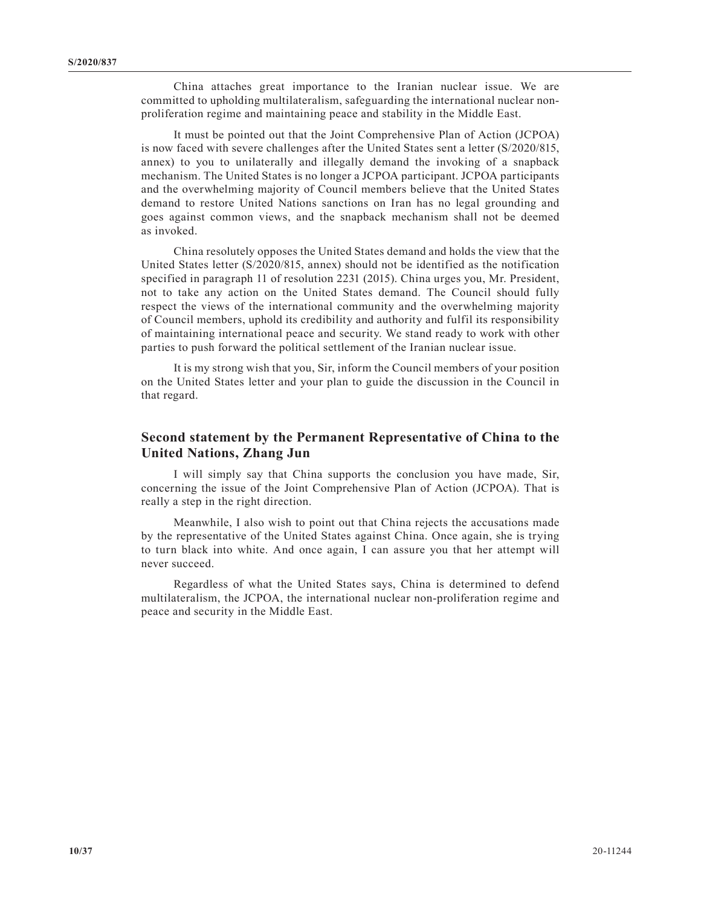China attaches great importance to the Iranian nuclear issue. We are committed to upholding multilateralism, safeguarding the international nuclear nonproliferation regime and maintaining peace and stability in the Middle East.

It must be pointed out that the Joint Comprehensive Plan of Action (JCPOA) is now faced with severe challenges after the United States sent a letter (S/2020/815, annex) to you to unilaterally and illegally demand the invoking of a snapback mechanism. The United States is no longer a JCPOA participant. JCPOA participants and the overwhelming majority of Council members believe that the United States demand to restore United Nations sanctions on Iran has no legal grounding and goes against common views, and the snapback mechanism shall not be deemed as invoked.

China resolutely opposes the United States demand and holds the view that the United States letter (S/2020/815, annex) should not be identified as the notification specified in paragraph 11 of resolution 2231 (2015). China urges you, Mr. President, not to take any action on the United States demand. The Council should fully respect the views of the international community and the overwhelming majority of Council members, uphold its credibility and authority and fulfil its responsibility of maintaining international peace and security. We stand ready to work with other parties to push forward the political settlement of the Iranian nuclear issue.

It is my strong wish that you, Sir, inform the Council members of your position on the United States letter and your plan to guide the discussion in the Council in that regard.

## **Second statement by the Permanent Representative of China to the United Nations, Zhang Jun**

I will simply say that China supports the conclusion you have made, Sir, concerning the issue of the Joint Comprehensive Plan of Action (JCPOA). That is really a step in the right direction.

Meanwhile, I also wish to point out that China rejects the accusations made by the representative of the United States against China. Once again, she is trying to turn black into white. And once again, I can assure you that her attempt will never succeed.

Regardless of what the United States says, China is determined to defend multilateralism, the JCPOA, the international nuclear non-proliferation regime and peace and security in the Middle East.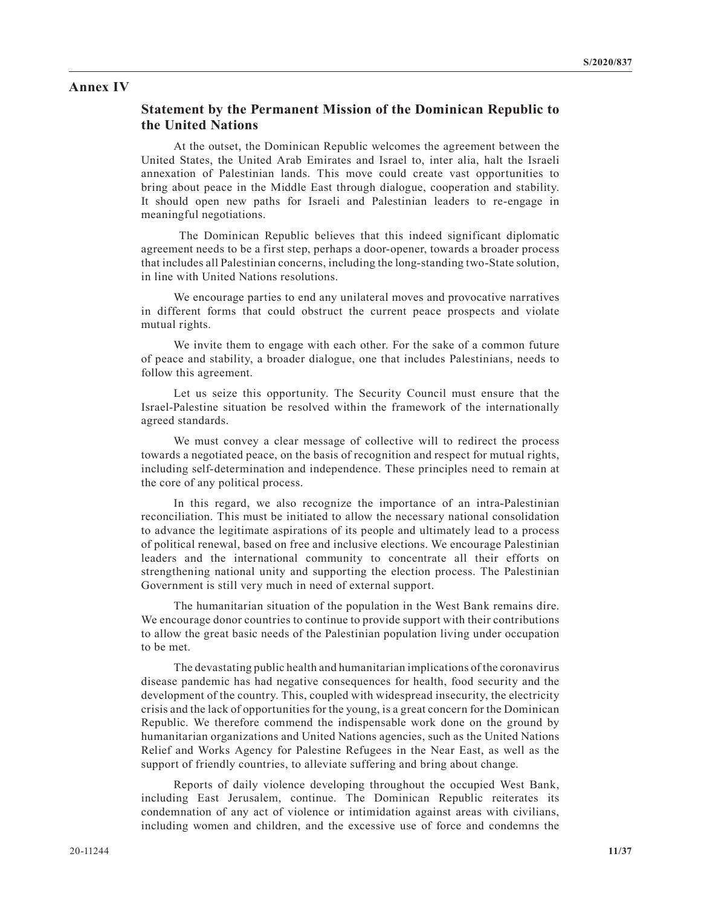#### **Annex IV**

## **Statement by the Permanent Mission of the Dominican Republic to the United Nations**

At the outset, the Dominican Republic welcomes the agreement between the United States, the United Arab Emirates and Israel to, inter alia, halt the Israeli annexation of Palestinian lands. This move could create vast opportunities to bring about peace in the Middle East through dialogue, cooperation and stability. It should open new paths for Israeli and Palestinian leaders to re-engage in meaningful negotiations.

 The Dominican Republic believes that this indeed significant diplomatic agreement needs to be a first step, perhaps a door-opener, towards a broader process that includes all Palestinian concerns, including the long-standing two-State solution, in line with United Nations resolutions.

We encourage parties to end any unilateral moves and provocative narratives in different forms that could obstruct the current peace prospects and violate mutual rights.

We invite them to engage with each other. For the sake of a common future of peace and stability, a broader dialogue, one that includes Palestinians, needs to follow this agreement.

Let us seize this opportunity. The Security Council must ensure that the Israel-Palestine situation be resolved within the framework of the internationally agreed standards.

We must convey a clear message of collective will to redirect the process towards a negotiated peace, on the basis of recognition and respect for mutual rights, including self-determination and independence. These principles need to remain at the core of any political process.

In this regard, we also recognize the importance of an intra-Palestinian reconciliation. This must be initiated to allow the necessary national consolidation to advance the legitimate aspirations of its people and ultimately lead to a process of political renewal, based on free and inclusive elections. We encourage Palestinian leaders and the international community to concentrate all their efforts on strengthening national unity and supporting the election process. The Palestinian Government is still very much in need of external support.

The humanitarian situation of the population in the West Bank remains dire. We encourage donor countries to continue to provide support with their contributions to allow the great basic needs of the Palestinian population living under occupation to be met.

The devastating public health and humanitarian implications of the coronavirus disease pandemic has had negative consequences for health, food security and the development of the country. This, coupled with widespread insecurity, the electricity crisis and the lack of opportunities for the young, is a great concern for the Dominican Republic. We therefore commend the indispensable work done on the ground by humanitarian organizations and United Nations agencies, such as the United Nations Relief and Works Agency for Palestine Refugees in the Near East, as well as the support of friendly countries, to alleviate suffering and bring about change.

Reports of daily violence developing throughout the occupied West Bank, including East Jerusalem, continue. The Dominican Republic reiterates its condemnation of any act of violence or intimidation against areas with civilians, including women and children, and the excessive use of force and condemns the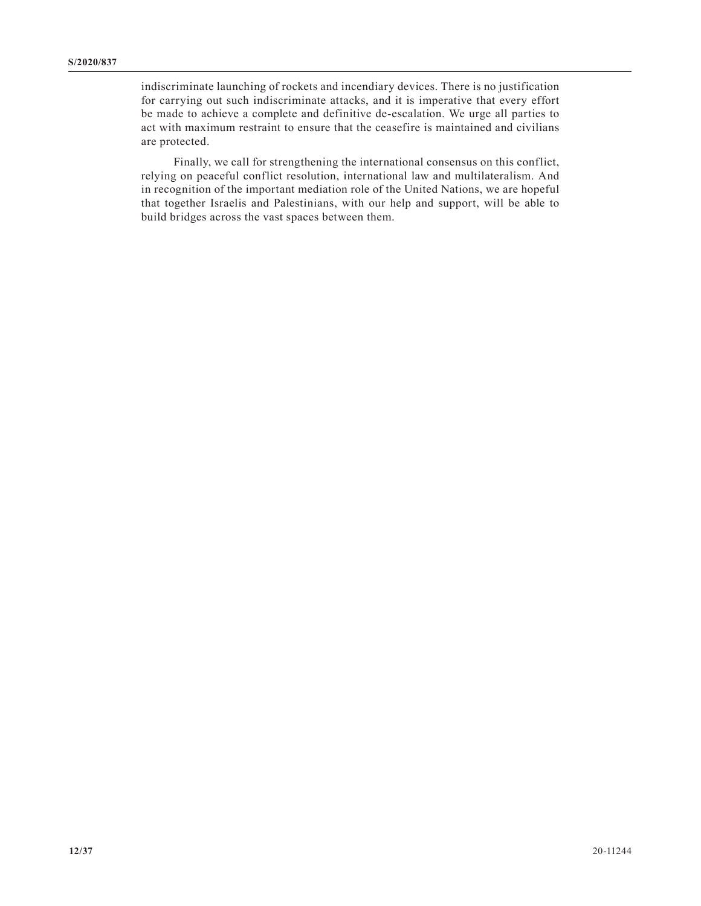indiscriminate launching of rockets and incendiary devices. There is no justification for carrying out such indiscriminate attacks, and it is imperative that every effort be made to achieve a complete and definitive de-escalation. We urge all parties to act with maximum restraint to ensure that the ceasefire is maintained and civilians are protected.

Finally, we call for strengthening the international consensus on this conflict, relying on peaceful conflict resolution, international law and multilateralism. And in recognition of the important mediation role of the United Nations, we are hopeful that together Israelis and Palestinians, with our help and support, will be able to build bridges across the vast spaces between them.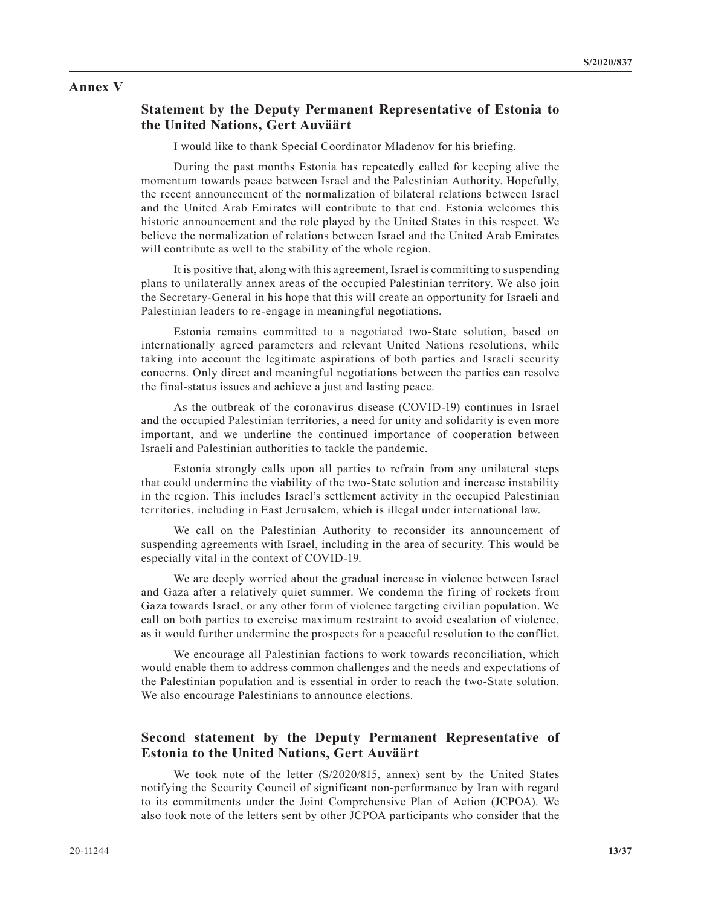#### **Annex V**

#### **Statement by the Deputy Permanent Representative of Estonia to the United Nations, Gert Auväärt**

I would like to thank Special Coordinator Mladenov for his briefing.

During the past months Estonia has repeatedly called for keeping alive the momentum towards peace between Israel and the Palestinian Authority. Hopefully, the recent announcement of the normalization of bilateral relations between Israel and the United Arab Emirates will contribute to that end. Estonia welcomes this historic announcement and the role played by the United States in this respect. We believe the normalization of relations between Israel and the United Arab Emirates will contribute as well to the stability of the whole region.

It is positive that, along with this agreement, Israel is committing to suspending plans to unilaterally annex areas of the occupied Palestinian territory. We also join the Secretary-General in his hope that this will create an opportunity for Israeli and Palestinian leaders to re-engage in meaningful negotiations.

Estonia remains committed to a negotiated two-State solution, based on internationally agreed parameters and relevant United Nations resolutions, while taking into account the legitimate aspirations of both parties and Israeli security concerns. Only direct and meaningful negotiations between the parties can resolve the final-status issues and achieve a just and lasting peace.

As the outbreak of the coronavirus disease (COVID-19) continues in Israel and the occupied Palestinian territories, a need for unity and solidarity is even more important, and we underline the continued importance of cooperation between Israeli and Palestinian authorities to tackle the pandemic.

Estonia strongly calls upon all parties to refrain from any unilateral steps that could undermine the viability of the two-State solution and increase instability in the region. This includes Israel's settlement activity in the occupied Palestinian territories, including in East Jerusalem, which is illegal under international law.

We call on the Palestinian Authority to reconsider its announcement of suspending agreements with Israel, including in the area of security. This would be especially vital in the context of COVID-19.

We are deeply worried about the gradual increase in violence between Israel and Gaza after a relatively quiet summer. We condemn the firing of rockets from Gaza towards Israel, or any other form of violence targeting civilian population. We call on both parties to exercise maximum restraint to avoid escalation of violence, as it would further undermine the prospects for a peaceful resolution to the conflict.

We encourage all Palestinian factions to work towards reconciliation, which would enable them to address common challenges and the needs and expectations of the Palestinian population and is essential in order to reach the two-State solution. We also encourage Palestinians to announce elections.

## **Second statement by the Deputy Permanent Representative of Estonia to the United Nations, Gert Auväärt**

We took note of the letter (S/2020/815, annex) sent by the United States notifying the Security Council of significant non-performance by Iran with regard to its commitments under the Joint Comprehensive Plan of Action (JCPOA). We also took note of the letters sent by other JCPOA participants who consider that the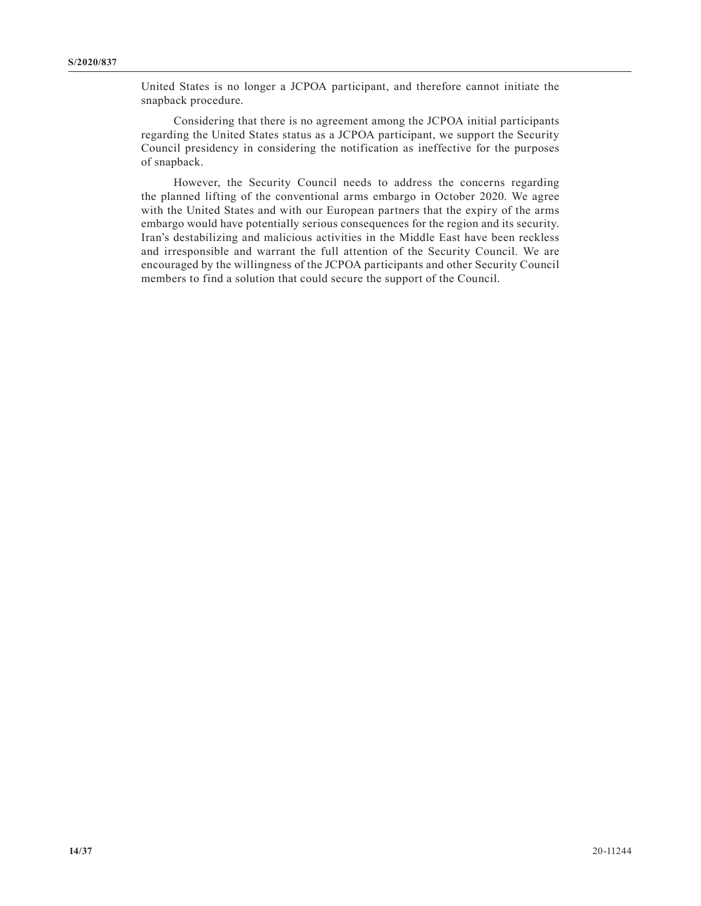United States is no longer a JCPOA participant, and therefore cannot initiate the snapback procedure.

Considering that there is no agreement among the JCPOA initial participants regarding the United States status as a JCPOA participant, we support the Security Council presidency in considering the notification as ineffective for the purposes of snapback.

However, the Security Council needs to address the concerns regarding the planned lifting of the conventional arms embargo in October 2020. We agree with the United States and with our European partners that the expiry of the arms embargo would have potentially serious consequences for the region and its security. Iran's destabilizing and malicious activities in the Middle East have been reckless and irresponsible and warrant the full attention of the Security Council. We are encouraged by the willingness of the JCPOA participants and other Security Council members to find a solution that could secure the support of the Council.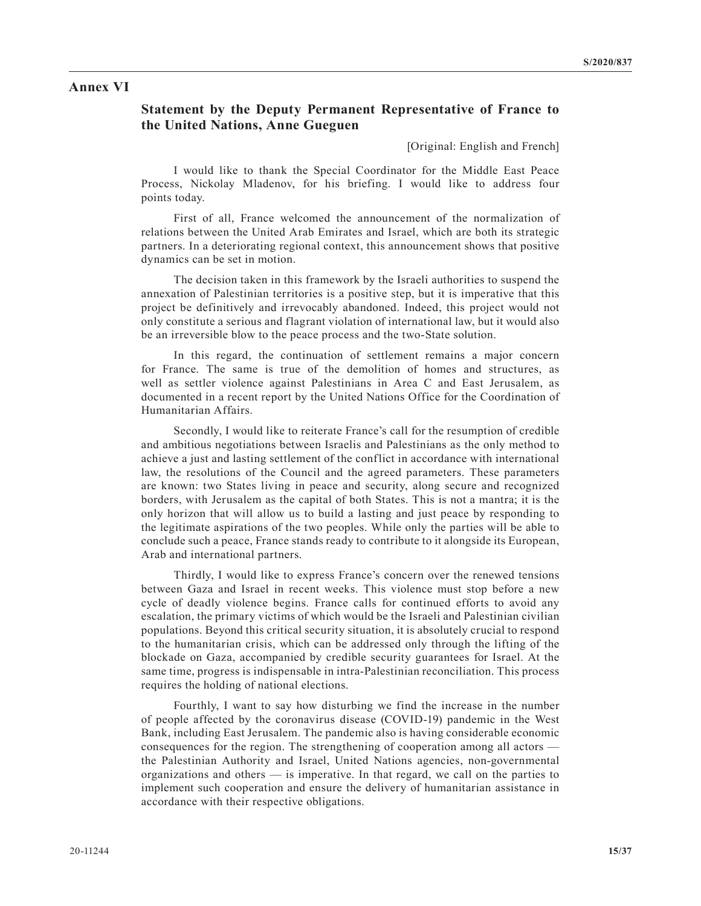#### **Annex VI**

## **Statement by the Deputy Permanent Representative of France to the United Nations, Anne Gueguen**

[Original: English and French]

I would like to thank the Special Coordinator for the Middle East Peace Process, Nickolay Mladenov, for his briefing. I would like to address four points today.

First of all, France welcomed the announcement of the normalization of relations between the United Arab Emirates and Israel, which are both its strategic partners. In a deteriorating regional context, this announcement shows that positive dynamics can be set in motion.

The decision taken in this framework by the Israeli authorities to suspend the annexation of Palestinian territories is a positive step, but it is imperative that this project be definitively and irrevocably abandoned. Indeed, this project would not only constitute a serious and flagrant violation of international law, but it would also be an irreversible blow to the peace process and the two-State solution.

In this regard, the continuation of settlement remains a major concern for France. The same is true of the demolition of homes and structures, as well as settler violence against Palestinians in Area C and East Jerusalem, as documented in a recent report by the United Nations Office for the Coordination of Humanitarian Affairs.

Secondly, I would like to reiterate France's call for the resumption of credible and ambitious negotiations between Israelis and Palestinians as the only method to achieve a just and lasting settlement of the conflict in accordance with international law, the resolutions of the Council and the agreed parameters. These parameters are known: two States living in peace and security, along secure and recognized borders, with Jerusalem as the capital of both States. This is not a mantra; it is the only horizon that will allow us to build a lasting and just peace by responding to the legitimate aspirations of the two peoples. While only the parties will be able to conclude such a peace, France stands ready to contribute to it alongside its European, Arab and international partners.

Thirdly, I would like to express France's concern over the renewed tensions between Gaza and Israel in recent weeks. This violence must stop before a new cycle of deadly violence begins. France calls for continued efforts to avoid any escalation, the primary victims of which would be the Israeli and Palestinian civilian populations. Beyond this critical security situation, it is absolutely crucial to respond to the humanitarian crisis, which can be addressed only through the lifting of the blockade on Gaza, accompanied by credible security guarantees for Israel. At the same time, progress is indispensable in intra-Palestinian reconciliation. This process requires the holding of national elections.

Fourthly, I want to say how disturbing we find the increase in the number of people affected by the coronavirus disease (COVID-19) pandemic in the West Bank, including East Jerusalem. The pandemic also is having considerable economic consequences for the region. The strengthening of cooperation among all actors the Palestinian Authority and Israel, United Nations agencies, non-governmental organizations and others — is imperative. In that regard, we call on the parties to implement such cooperation and ensure the delivery of humanitarian assistance in accordance with their respective obligations.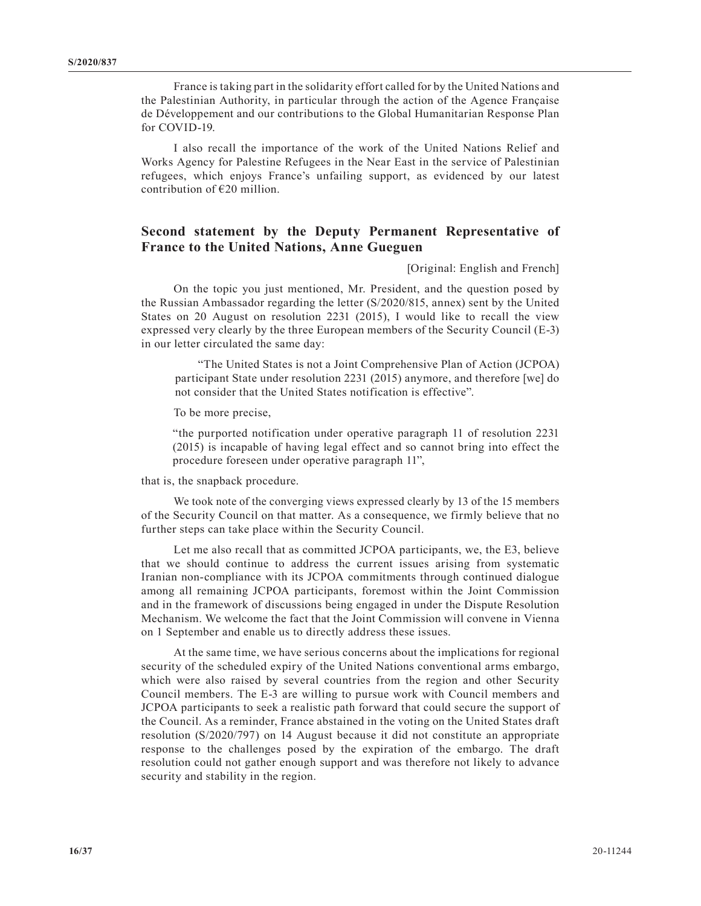France is taking part in the solidarity effort called for by the United Nations and the Palestinian Authority, in particular through the action of the Agence Française de Développement and our contributions to the Global Humanitarian Response Plan for COVID-19.

I also recall the importance of the work of the United Nations Relief and Works Agency for Palestine Refugees in the Near East in the service of Palestinian refugees, which enjoys France's unfailing support, as evidenced by our latest contribution of €20 million.

# **Second statement by the Deputy Permanent Representative of France to the United Nations, Anne Gueguen**

#### [Original: English and French]

On the topic you just mentioned, Mr. President, and the question posed by the Russian Ambassador regarding the letter (S/2020/815, annex) sent by the United States on 20 August on resolution 2231 (2015), I would like to recall the view expressed very clearly by the three European members of the Security Council (E-3) in our letter circulated the same day:

"The United States is not a Joint Comprehensive Plan of Action (JCPOA) participant State under resolution 2231 (2015) anymore, and therefore [we] do not consider that the United States notification is effective".

To be more precise,

"the purported notification under operative paragraph 11 of resolution 2231 (2015) is incapable of having legal effect and so cannot bring into effect the procedure foreseen under operative paragraph 11",

that is, the snapback procedure.

We took note of the converging views expressed clearly by 13 of the 15 members of the Security Council on that matter. As a consequence, we firmly believe that no further steps can take place within the Security Council.

Let me also recall that as committed JCPOA participants, we, the E3, believe that we should continue to address the current issues arising from systematic Iranian non-compliance with its JCPOA commitments through continued dialogue among all remaining JCPOA participants, foremost within the Joint Commission and in the framework of discussions being engaged in under the Dispute Resolution Mechanism. We welcome the fact that the Joint Commission will convene in Vienna on 1 September and enable us to directly address these issues.

At the same time, we have serious concerns about the implications for regional security of the scheduled expiry of the United Nations conventional arms embargo, which were also raised by several countries from the region and other Security Council members. The E-3 are willing to pursue work with Council members and JCPOA participants to seek a realistic path forward that could secure the support of the Council. As a reminder, France abstained in the voting on the United States draft resolution (S/2020/797) on 14 August because it did not constitute an appropriate response to the challenges posed by the expiration of the embargo. The draft resolution could not gather enough support and was therefore not likely to advance security and stability in the region.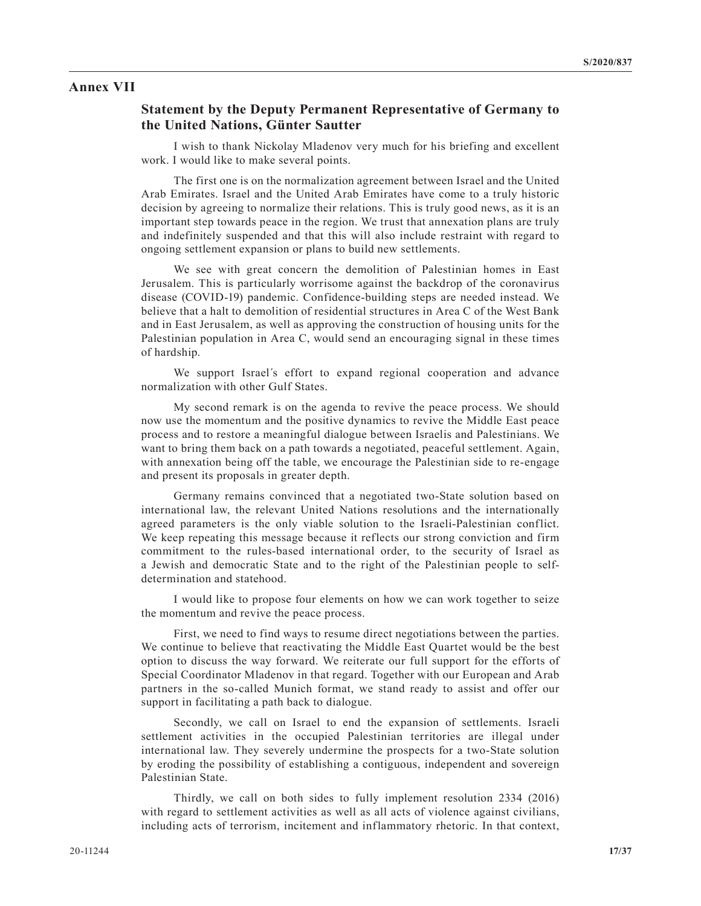#### **Annex VII**

#### **Statement by the Deputy Permanent Representative of Germany to the United Nations, Günter Sautter**

I wish to thank Nickolay Mladenov very much for his briefing and excellent work. I would like to make several points.

The first one is on the normalization agreement between Israel and the United Arab Emirates. Israel and the United Arab Emirates have come to a truly historic decision by agreeing to normalize their relations. This is truly good news, as it is an important step towards peace in the region. We trust that annexation plans are truly and indefinitely suspended and that this will also include restraint with regard to ongoing settlement expansion or plans to build new settlements.

We see with great concern the demolition of Palestinian homes in East Jerusalem. This is particularly worrisome against the backdrop of the coronavirus disease (COVID-19) pandemic. Confidence-building steps are needed instead. We believe that a halt to demolition of residential structures in Area C of the West Bank and in East Jerusalem, as well as approving the construction of housing units for the Palestinian population in Area C, would send an encouraging signal in these times of hardship.

We support Israel´s effort to expand regional cooperation and advance normalization with other Gulf States.

My second remark is on the agenda to revive the peace process. We should now use the momentum and the positive dynamics to revive the Middle East peace process and to restore a meaningful dialogue between Israelis and Palestinians. We want to bring them back on a path towards a negotiated, peaceful settlement. Again, with annexation being off the table, we encourage the Palestinian side to re-engage and present its proposals in greater depth.

Germany remains convinced that a negotiated two-State solution based on international law, the relevant United Nations resolutions and the internationally agreed parameters is the only viable solution to the Israeli-Palestinian conflict. We keep repeating this message because it reflects our strong conviction and firm commitment to the rules-based international order, to the security of Israel as a Jewish and democratic State and to the right of the Palestinian people to selfdetermination and statehood.

I would like to propose four elements on how we can work together to seize the momentum and revive the peace process.

First, we need to find ways to resume direct negotiations between the parties. We continue to believe that reactivating the Middle East Quartet would be the best option to discuss the way forward. We reiterate our full support for the efforts of Special Coordinator Mladenov in that regard. Together with our European and Arab partners in the so-called Munich format, we stand ready to assist and offer our support in facilitating a path back to dialogue.

Secondly, we call on Israel to end the expansion of settlements. Israeli settlement activities in the occupied Palestinian territories are illegal under international law. They severely undermine the prospects for a two-State solution by eroding the possibility of establishing a contiguous, independent and sovereign Palestinian State.

Thirdly, we call on both sides to fully implement resolution 2334 (2016) with regard to settlement activities as well as all acts of violence against civilians, including acts of terrorism, incitement and inflammatory rhetoric. In that context,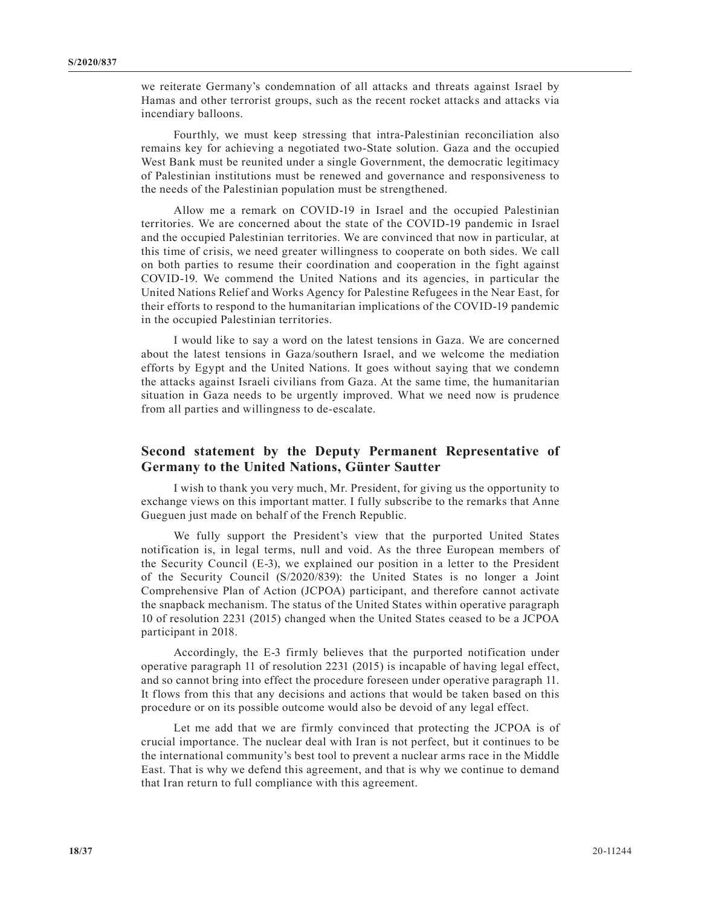we reiterate Germany's condemnation of all attacks and threats against Israel by Hamas and other terrorist groups, such as the recent rocket attacks and attacks via incendiary balloons.

Fourthly, we must keep stressing that intra-Palestinian reconciliation also remains key for achieving a negotiated two-State solution. Gaza and the occupied West Bank must be reunited under a single Government, the democratic legitimacy of Palestinian institutions must be renewed and governance and responsiveness to the needs of the Palestinian population must be strengthened.

Allow me a remark on COVID-19 in Israel and the occupied Palestinian territories. We are concerned about the state of the COVID-19 pandemic in Israel and the occupied Palestinian territories. We are convinced that now in particular, at this time of crisis, we need greater willingness to cooperate on both sides. We call on both parties to resume their coordination and cooperation in the fight against COVID-19. We commend the United Nations and its agencies, in particular the United Nations Relief and Works Agency for Palestine Refugees in the Near East, for their efforts to respond to the humanitarian implications of the COVID-19 pandemic in the occupied Palestinian territories.

I would like to say a word on the latest tensions in Gaza. We are concerned about the latest tensions in Gaza/southern Israel, and we welcome the mediation efforts by Egypt and the United Nations. It goes without saying that we condemn the attacks against Israeli civilians from Gaza. At the same time, the humanitarian situation in Gaza needs to be urgently improved. What we need now is prudence from all parties and willingness to de-escalate.

## **Second statement by the Deputy Permanent Representative of Germany to the United Nations, Günter Sautter**

I wish to thank you very much, Mr. President, for giving us the opportunity to exchange views on this important matter. I fully subscribe to the remarks that Anne Gueguen just made on behalf of the French Republic.

We fully support the President's view that the purported United States notification is, in legal terms, null and void. As the three European members of the Security Council (E-3), we explained our position in a letter to the President of the Security Council (S/2020/839): the United States is no longer a Joint Comprehensive Plan of Action (JCPOA) participant, and therefore cannot activate the snapback mechanism. The status of the United States within operative paragraph 10 of resolution 2231 (2015) changed when the United States ceased to be a JCPOA participant in 2018.

Accordingly, the E-3 firmly believes that the purported notification under operative paragraph 11 of resolution 2231 (2015) is incapable of having legal effect, and so cannot bring into effect the procedure foreseen under operative paragraph 11. It flows from this that any decisions and actions that would be taken based on this procedure or on its possible outcome would also be devoid of any legal effect.

Let me add that we are firmly convinced that protecting the JCPOA is of crucial importance. The nuclear deal with Iran is not perfect, but it continues to be the international community's best tool to prevent a nuclear arms race in the Middle East. That is why we defend this agreement, and that is why we continue to demand that Iran return to full compliance with this agreement.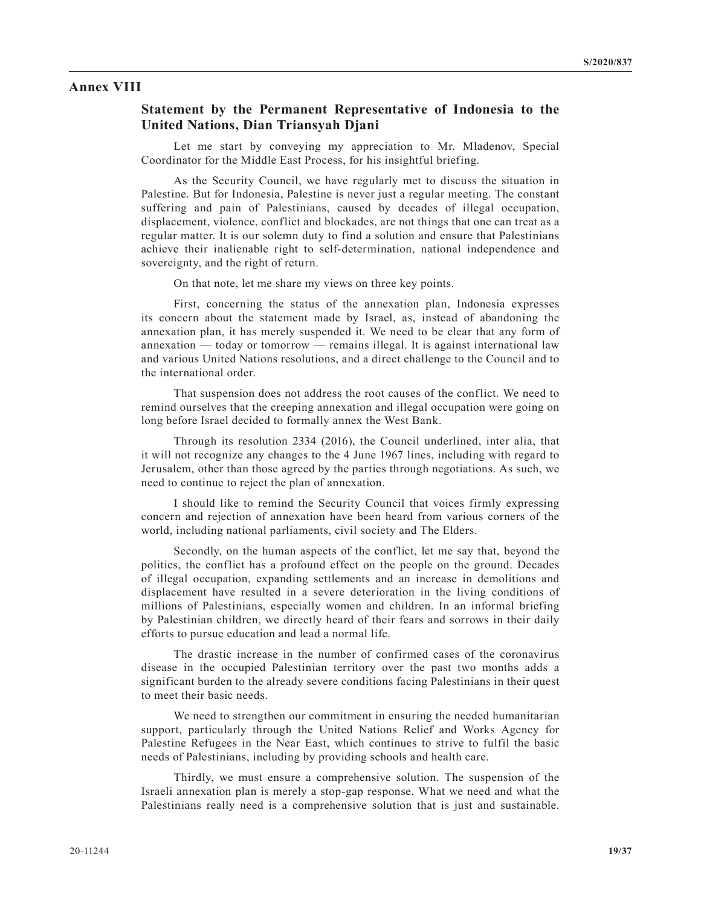#### **Annex VIII**

# **Statement by the Permanent Representative of Indonesia to the United Nations, Dian Triansyah Djani**

Let me start by conveying my appreciation to Mr. Mladenov, Special Coordinator for the Middle East Process, for his insightful briefing.

As the Security Council, we have regularly met to discuss the situation in Palestine. But for Indonesia, Palestine is never just a regular meeting. The constant suffering and pain of Palestinians, caused by decades of illegal occupation, displacement, violence, conflict and blockades, are not things that one can treat as a regular matter. It is our solemn duty to find a solution and ensure that Palestinians achieve their inalienable right to self-determination, national independence and sovereignty, and the right of return.

On that note, let me share my views on three key points.

First, concerning the status of the annexation plan, Indonesia expresses its concern about the statement made by Israel, as, instead of abandoning the annexation plan, it has merely suspended it. We need to be clear that any form of annexation — today or tomorrow — remains illegal. It is against international law and various United Nations resolutions, and a direct challenge to the Council and to the international order.

That suspension does not address the root causes of the conflict. We need to remind ourselves that the creeping annexation and illegal occupation were going on long before Israel decided to formally annex the West Bank.

Through its resolution 2334 (2016), the Council underlined, inter alia, that it will not recognize any changes to the 4 June 1967 lines, including with regard to Jerusalem, other than those agreed by the parties through negotiations. As such, we need to continue to reject the plan of annexation.

I should like to remind the Security Council that voices firmly expressing concern and rejection of annexation have been heard from various corners of the world, including national parliaments, civil society and The Elders.

Secondly, on the human aspects of the conflict, let me say that, beyond the politics, the conflict has a profound effect on the people on the ground. Decades of illegal occupation, expanding settlements and an increase in demolitions and displacement have resulted in a severe deterioration in the living conditions of millions of Palestinians, especially women and children. In an informal briefing by Palestinian children, we directly heard of their fears and sorrows in their daily efforts to pursue education and lead a normal life.

The drastic increase in the number of confirmed cases of the coronavirus disease in the occupied Palestinian territory over the past two months adds a significant burden to the already severe conditions facing Palestinians in their quest to meet their basic needs.

We need to strengthen our commitment in ensuring the needed humanitarian support, particularly through the United Nations Relief and Works Agency for Palestine Refugees in the Near East, which continues to strive to fulfil the basic needs of Palestinians, including by providing schools and health care.

Thirdly, we must ensure a comprehensive solution. The suspension of the Israeli annexation plan is merely a stop-gap response. What we need and what the Palestinians really need is a comprehensive solution that is just and sustainable.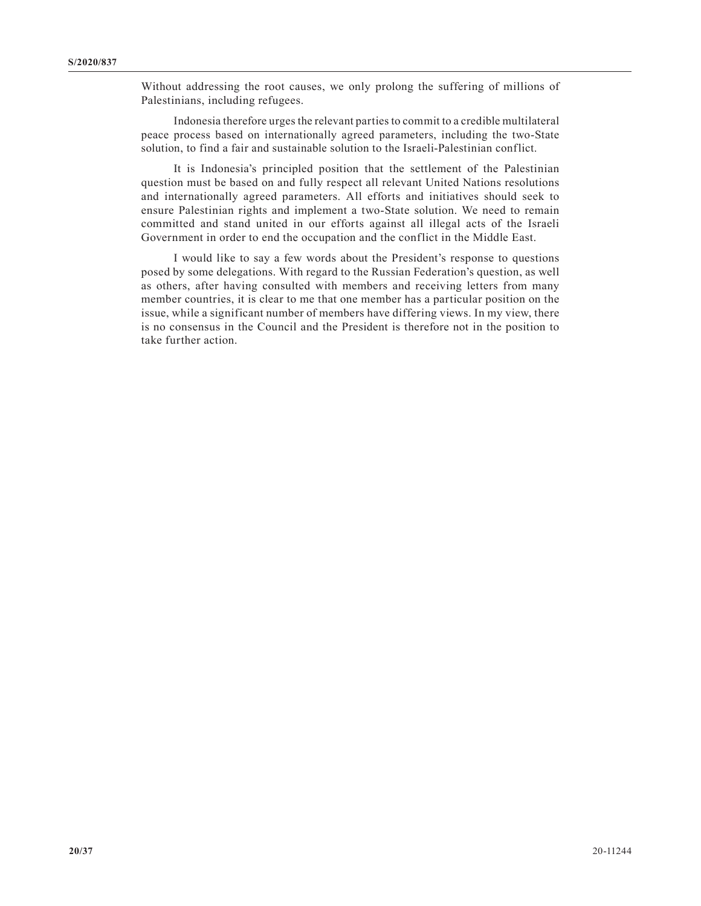Without addressing the root causes, we only prolong the suffering of millions of Palestinians, including refugees.

Indonesia therefore urges the relevant parties to commit to a credible multilateral peace process based on internationally agreed parameters, including the two-State solution, to find a fair and sustainable solution to the Israeli-Palestinian conflict.

It is Indonesia's principled position that the settlement of the Palestinian question must be based on and fully respect all relevant United Nations resolutions and internationally agreed parameters. All efforts and initiatives should seek to ensure Palestinian rights and implement a two-State solution. We need to remain committed and stand united in our efforts against all illegal acts of the Israeli Government in order to end the occupation and the conflict in the Middle East.

I would like to say a few words about the President's response to questions posed by some delegations. With regard to the Russian Federation's question, as well as others, after having consulted with members and receiving letters from many member countries, it is clear to me that one member has a particular position on the issue, while a significant number of members have differing views. In my view, there is no consensus in the Council and the President is therefore not in the position to take further action.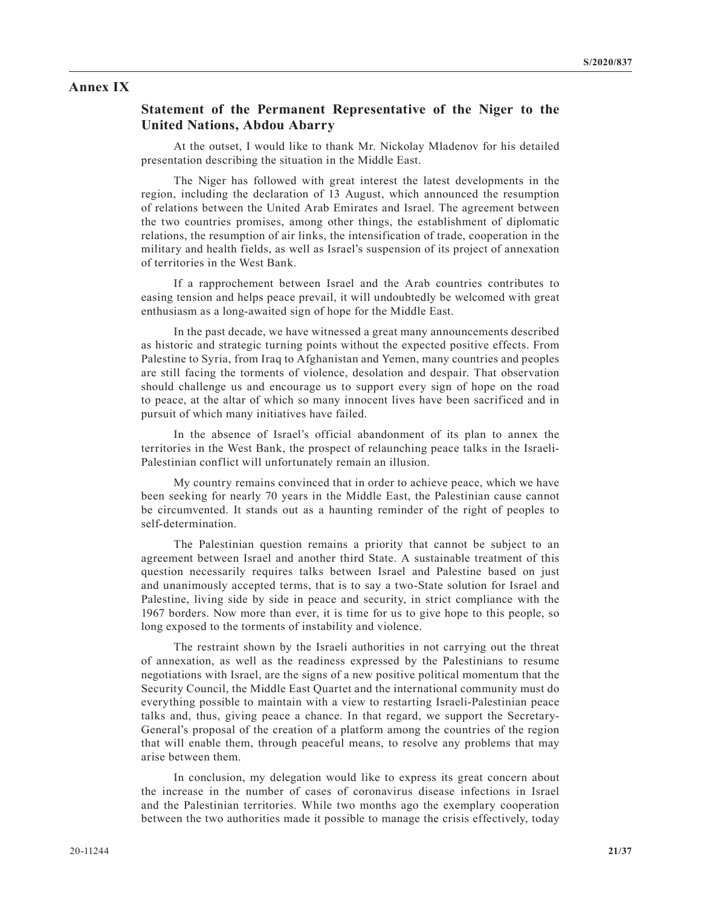## **Annex IX**

#### **Statement of the Permanent Representative of the Niger to the United Nations, Abdou Abarry**

At the outset, I would like to thank Mr. Nickolay Mladenov for his detailed presentation describing the situation in the Middle East.

The Niger has followed with great interest the latest developments in the region, including the declaration of 13 August, which announced the resumption of relations between the United Arab Emirates and Israel. The agreement between the two countries promises, among other things, the establishment of diplomatic relations, the resumption of air links, the intensification of trade, cooperation in the military and health fields, as well as Israel's suspension of its project of annexation of territories in the West Bank.

If a rapprochement between Israel and the Arab countries contributes to easing tension and helps peace prevail, it will undoubtedly be welcomed with great enthusiasm as a long-awaited sign of hope for the Middle East.

In the past decade, we have witnessed a great many announcements described as historic and strategic turning points without the expected positive effects. From Palestine to Syria, from Iraq to Afghanistan and Yemen, many countries and peoples are still facing the torments of violence, desolation and despair. That observation should challenge us and encourage us to support every sign of hope on the road to peace, at the altar of which so many innocent lives have been sacrificed and in pursuit of which many initiatives have failed.

In the absence of Israel's official abandonment of its plan to annex the territories in the West Bank, the prospect of relaunching peace talks in the Israeli-Palestinian conflict will unfortunately remain an illusion.

My country remains convinced that in order to achieve peace, which we have been seeking for nearly 70 years in the Middle East, the Palestinian cause cannot be circumvented. It stands out as a haunting reminder of the right of peoples to self-determination.

The Palestinian question remains a priority that cannot be subject to an agreement between Israel and another third State. A sustainable treatment of this question necessarily requires talks between Israel and Palestine based on just and unanimously accepted terms, that is to say a two-State solution for Israel and Palestine, living side by side in peace and security, in strict compliance with the 1967 borders. Now more than ever, it is time for us to give hope to this people, so long exposed to the torments of instability and violence.

The restraint shown by the Israeli authorities in not carrying out the threat of annexation, as well as the readiness expressed by the Palestinians to resume negotiations with Israel, are the signs of a new positive political momentum that the Security Council, the Middle East Quartet and the international community must do everything possible to maintain with a view to restarting Israeli-Palestinian peace talks and, thus, giving peace a chance. In that regard, we support the Secretary-General's proposal of the creation of a platform among the countries of the region that will enable them, through peaceful means, to resolve any problems that may arise between them.

In conclusion, my delegation would like to express its great concern about the increase in the number of cases of coronavirus disease infections in Israel and the Palestinian territories. While two months ago the exemplary cooperation between the two authorities made it possible to manage the crisis effectively, today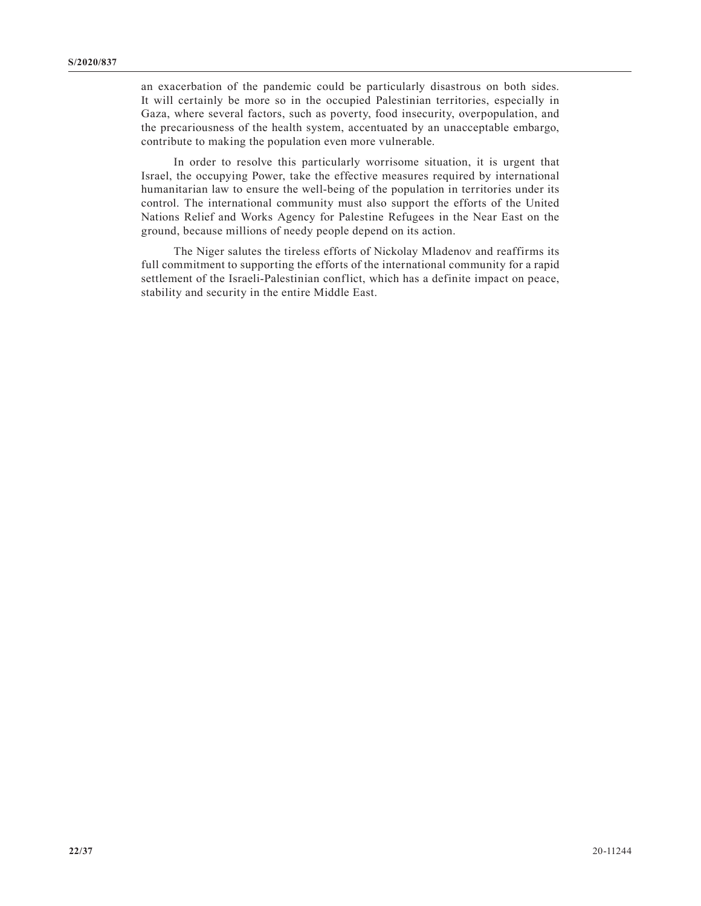an exacerbation of the pandemic could be particularly disastrous on both sides. It will certainly be more so in the occupied Palestinian territories, especially in Gaza, where several factors, such as poverty, food insecurity, overpopulation, and the precariousness of the health system, accentuated by an unacceptable embargo, contribute to making the population even more vulnerable.

In order to resolve this particularly worrisome situation, it is urgent that Israel, the occupying Power, take the effective measures required by international humanitarian law to ensure the well-being of the population in territories under its control. The international community must also support the efforts of the United Nations Relief and Works Agency for Palestine Refugees in the Near East on the ground, because millions of needy people depend on its action.

The Niger salutes the tireless efforts of Nickolay Mladenov and reaffirms its full commitment to supporting the efforts of the international community for a rapid settlement of the Israeli-Palestinian conflict, which has a definite impact on peace, stability and security in the entire Middle East.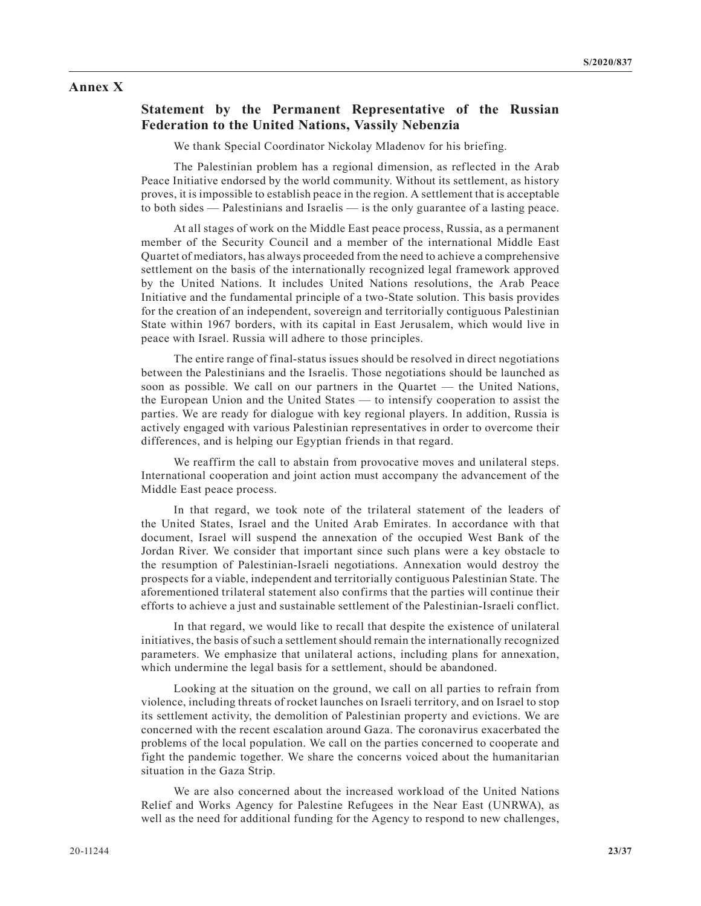#### **Annex X**

## **Statement by the Permanent Representative of the Russian Federation to the United Nations, Vassily Nebenzia**

We thank Special Coordinator Nickolay Mladenov for his briefing.

The Palestinian problem has a regional dimension, as reflected in the Arab Peace Initiative endorsed by the world community. Without its settlement, as history proves, it is impossible to establish peace in the region. A settlement that is acceptable to both sides — Palestinians and Israelis — is the only guarantee of a lasting peace.

At all stages of work on the Middle East peace process, Russia, as a permanent member of the Security Council and a member of the international Middle East Quartet of mediators, has always proceeded from the need to achieve a comprehensive settlement on the basis of the internationally recognized legal framework approved by the United Nations. It includes United Nations resolutions, the Arab Peace Initiative and the fundamental principle of a two-State solution. This basis provides for the creation of an independent, sovereign and territorially contiguous Palestinian State within 1967 borders, with its capital in East Jerusalem, which would live in peace with Israel. Russia will adhere to those principles.

The entire range of final-status issues should be resolved in direct negotiations between the Palestinians and the Israelis. Those negotiations should be launched as soon as possible. We call on our partners in the Quartet — the United Nations, the European Union and the United States — to intensify cooperation to assist the parties. We are ready for dialogue with key regional players. In addition, Russia is actively engaged with various Palestinian representatives in order to overcome their differences, and is helping our Egyptian friends in that regard.

We reaffirm the call to abstain from provocative moves and unilateral steps. International cooperation and joint action must accompany the advancement of the Middle East peace process.

In that regard, we took note of the trilateral statement of the leaders of the United States, Israel and the United Arab Emirates. In accordance with that document, Israel will suspend the annexation of the occupied West Bank of the Jordan River. We consider that important since such plans were a key obstacle to the resumption of Palestinian-Israeli negotiations. Annexation would destroy the prospects for a viable, independent and territorially contiguous Palestinian State. The aforementioned trilateral statement also confirms that the parties will continue their efforts to achieve a just and sustainable settlement of the Palestinian-Israeli conflict.

In that regard, we would like to recall that despite the existence of unilateral initiatives, the basis of such a settlement should remain the internationally recognized parameters. We emphasize that unilateral actions, including plans for annexation, which undermine the legal basis for a settlement, should be abandoned.

Looking at the situation on the ground, we call on all parties to refrain from violence, including threats of rocket launches on Israeli territory, and on Israel to stop its settlement activity, the demolition of Palestinian property and evictions. We are concerned with the recent escalation around Gaza. The coronavirus exacerbated the problems of the local population. We call on the parties concerned to cooperate and fight the pandemic together. We share the concerns voiced about the humanitarian situation in the Gaza Strip.

We are also concerned about the increased workload of the United Nations Relief and Works Agency for Palestine Refugees in the Near East (UNRWA), as well as the need for additional funding for the Agency to respond to new challenges,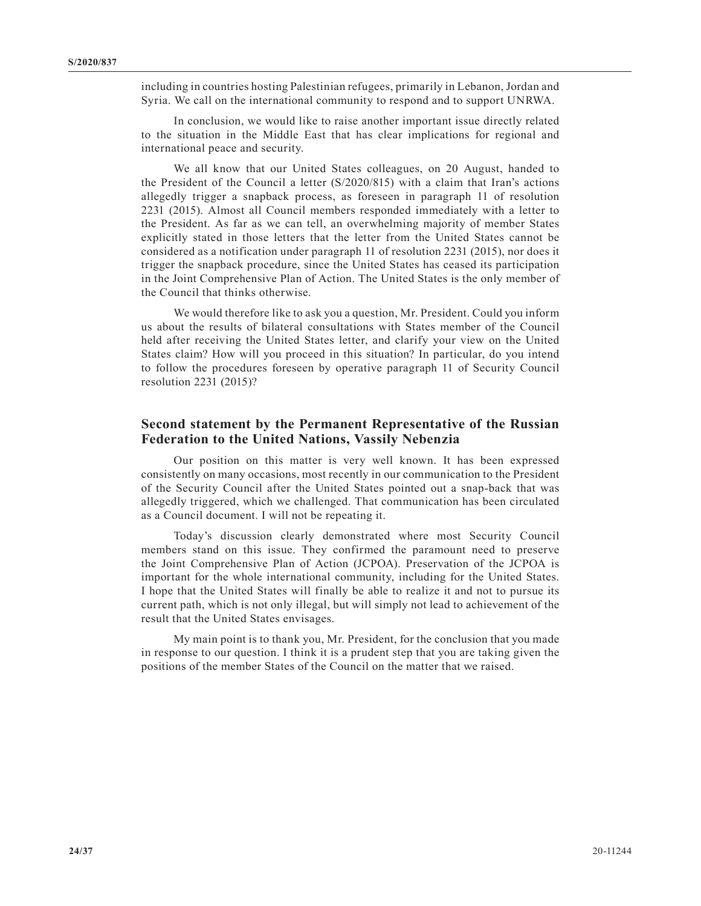including in countries hosting Palestinian refugees, primarily in Lebanon, Jordan and Syria. We call on the international community to respond and to support UNRWA.

In conclusion, we would like to raise another important issue directly related to the situation in the Middle East that has clear implications for regional and international peace and security.

We all know that our United States colleagues, on 20 August, handed to the President of the Council a letter (S/2020/815) with a claim that Iran's actions allegedly trigger a snapback process, as foreseen in paragraph 11 of resolution 2231 (2015). Almost all Council members responded immediately with a letter to the President. As far as we can tell, an overwhelming majority of member States explicitly stated in those letters that the letter from the United States cannot be considered as a notification under paragraph 11 of resolution 2231 (2015), nor does it trigger the snapback procedure, since the United States has ceased its participation in the Joint Comprehensive Plan of Action. The United States is the only member of the Council that thinks otherwise.

We would therefore like to ask you a question, Mr. President. Could you inform us about the results of bilateral consultations with States member of the Council held after receiving the United States letter, and clarify your view on the United States claim? How will you proceed in this situation? In particular, do you intend to follow the procedures foreseen by operative paragraph 11 of Security Council resolution 2231 (2015)?

## **Second statement by the Permanent Representative of the Russian Federation to the United Nations, Vassily Nebenzia**

Our position on this matter is very well known. It has been expressed consistently on many occasions, most recently in our communication to the President of the Security Council after the United States pointed out a snap-back that was allegedly triggered, which we challenged. That communication has been circulated as a Council document. I will not be repeating it.

Today's discussion clearly demonstrated where most Security Council members stand on this issue. They confirmed the paramount need to preserve the Joint Comprehensive Plan of Action (JCPOA). Preservation of the JCPOA is important for the whole international community, including for the United States. I hope that the United States will finally be able to realize it and not to pursue its current path, which is not only illegal, but will simply not lead to achievement of the result that the United States envisages.

My main point is to thank you, Mr. President, for the conclusion that you made in response to our question. I think it is a prudent step that you are taking given the positions of the member States of the Council on the matter that we raised.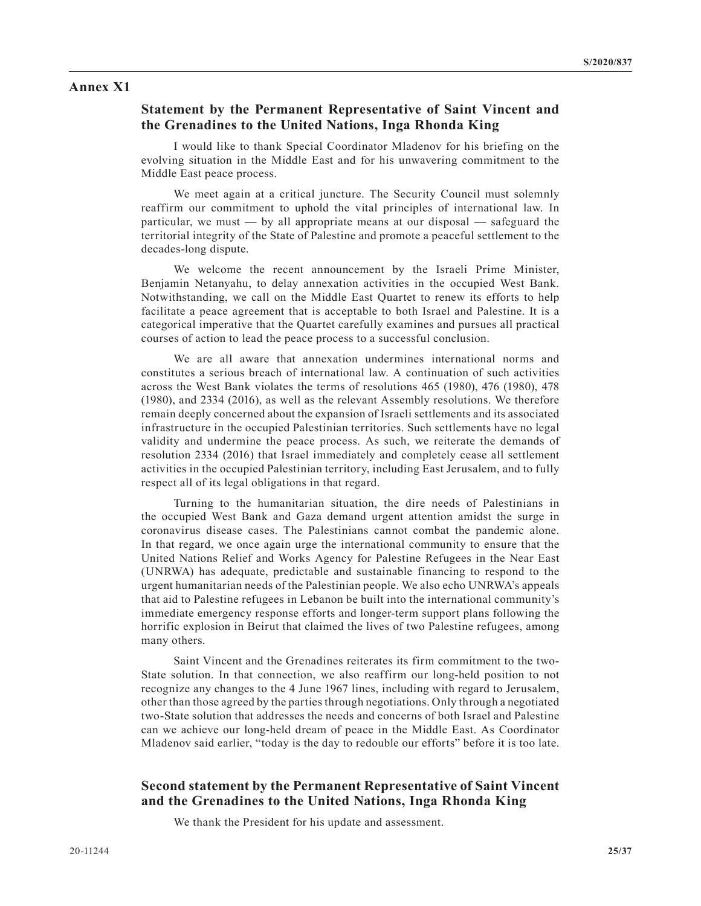## **Annex X1**

## **Statement by the Permanent Representative of Saint Vincent and the Grenadines to the United Nations, Inga Rhonda King**

I would like to thank Special Coordinator Mladenov for his briefing on the evolving situation in the Middle East and for his unwavering commitment to the Middle East peace process.

We meet again at a critical juncture. The Security Council must solemnly reaffirm our commitment to uphold the vital principles of international law. In particular, we must — by all appropriate means at our disposal — safeguard the territorial integrity of the State of Palestine and promote a peaceful settlement to the decades-long dispute.

We welcome the recent announcement by the Israeli Prime Minister, Benjamin Netanyahu, to delay annexation activities in the occupied West Bank. Notwithstanding, we call on the Middle East Quartet to renew its efforts to help facilitate a peace agreement that is acceptable to both Israel and Palestine. It is a categorical imperative that the Quartet carefully examines and pursues all practical courses of action to lead the peace process to a successful conclusion.

We are all aware that annexation undermines international norms and constitutes a serious breach of international law. A continuation of such activities across the West Bank violates the terms of resolutions 465 (1980), 476 (1980), 478 (1980), and 2334 (2016), as well as the relevant Assembly resolutions. We therefore remain deeply concerned about the expansion of Israeli settlements and its associated infrastructure in the occupied Palestinian territories. Such settlements have no legal validity and undermine the peace process. As such, we reiterate the demands of resolution 2334 (2016) that Israel immediately and completely cease all settlement activities in the occupied Palestinian territory, including East Jerusalem, and to fully respect all of its legal obligations in that regard.

Turning to the humanitarian situation, the dire needs of Palestinians in the occupied West Bank and Gaza demand urgent attention amidst the surge in coronavirus disease cases. The Palestinians cannot combat the pandemic alone. In that regard, we once again urge the international community to ensure that the United Nations Relief and Works Agency for Palestine Refugees in the Near East (UNRWA) has adequate, predictable and sustainable financing to respond to the urgent humanitarian needs of the Palestinian people. We also echo UNRWA's appeals that aid to Palestine refugees in Lebanon be built into the international community's immediate emergency response efforts and longer-term support plans following the horrific explosion in Beirut that claimed the lives of two Palestine refugees, among many others.

Saint Vincent and the Grenadines reiterates its firm commitment to the two-State solution. In that connection, we also reaffirm our long-held position to not recognize any changes to the 4 June 1967 lines, including with regard to Jerusalem, other than those agreed by the parties through negotiations. Only through a negotiated two-State solution that addresses the needs and concerns of both Israel and Palestine can we achieve our long-held dream of peace in the Middle East. As Coordinator Mladenov said earlier, "today is the day to redouble our efforts" before it is too late.

# **Second statement by the Permanent Representative of Saint Vincent and the Grenadines to the United Nations, Inga Rhonda King**

We thank the President for his update and assessment.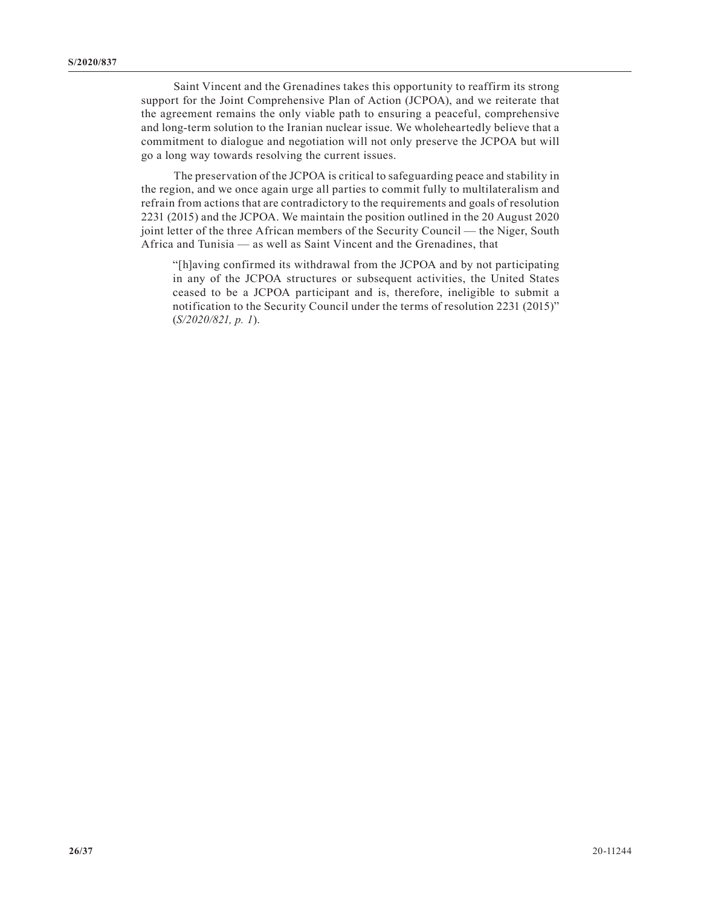Saint Vincent and the Grenadines takes this opportunity to reaffirm its strong support for the Joint Comprehensive Plan of Action (JCPOA), and we reiterate that the agreement remains the only viable path to ensuring a peaceful, comprehensive and long-term solution to the Iranian nuclear issue. We wholeheartedly believe that a commitment to dialogue and negotiation will not only preserve the JCPOA but will go a long way towards resolving the current issues.

The preservation of the JCPOA is critical to safeguarding peace and stability in the region, and we once again urge all parties to commit fully to multilateralism and refrain from actions that are contradictory to the requirements and goals of resolution 2231 (2015) and the JCPOA. We maintain the position outlined in the 20 August 2020 joint letter of the three African members of the Security Council — the Niger, South Africa and Tunisia — as well as Saint Vincent and the Grenadines, that

"[h]aving confirmed its withdrawal from the JCPOA and by not participating in any of the JCPOA structures or subsequent activities, the United States ceased to be a JCPOA participant and is, therefore, ineligible to submit a notification to the Security Council under the terms of resolution 2231 (2015)" (*S/2020/821, p. 1*).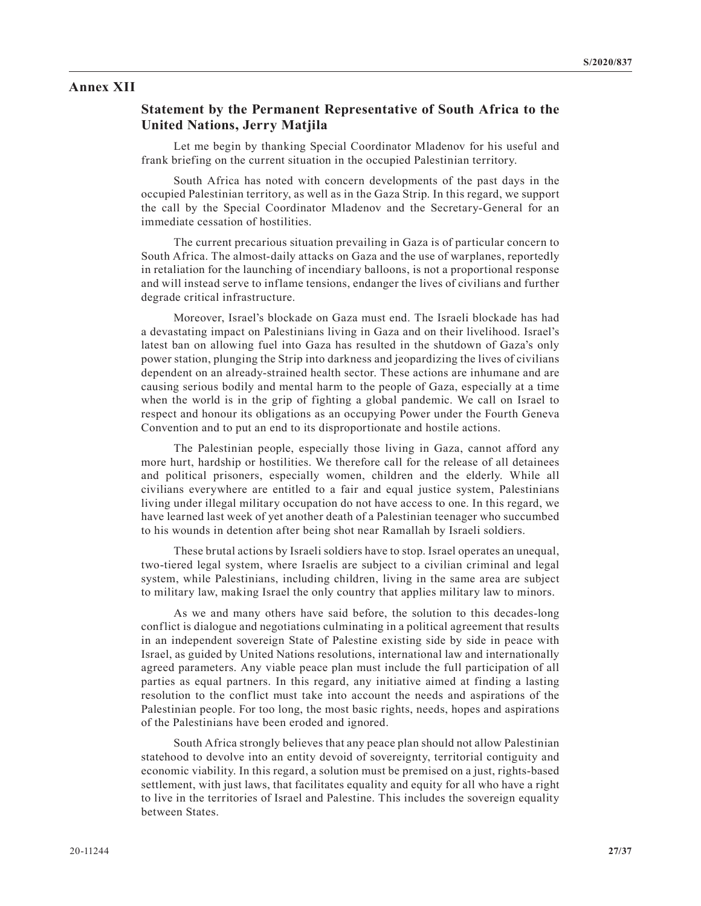#### **Annex XII**

#### **Statement by the Permanent Representative of South Africa to the United Nations, Jerry Matjila**

Let me begin by thanking Special Coordinator Mladenov for his useful and frank briefing on the current situation in the occupied Palestinian territory.

South Africa has noted with concern developments of the past days in the occupied Palestinian territory, as well as in the Gaza Strip. In this regard, we support the call by the Special Coordinator Mladenov and the Secretary-General for an immediate cessation of hostilities.

The current precarious situation prevailing in Gaza is of particular concern to South Africa. The almost-daily attacks on Gaza and the use of warplanes, reportedly in retaliation for the launching of incendiary balloons, is not a proportional response and will instead serve to inflame tensions, endanger the lives of civilians and further degrade critical infrastructure.

Moreover, Israel's blockade on Gaza must end. The Israeli blockade has had a devastating impact on Palestinians living in Gaza and on their livelihood. Israel's latest ban on allowing fuel into Gaza has resulted in the shutdown of Gaza's only power station, plunging the Strip into darkness and jeopardizing the lives of civilians dependent on an already-strained health sector. These actions are inhumane and are causing serious bodily and mental harm to the people of Gaza, especially at a time when the world is in the grip of fighting a global pandemic. We call on Israel to respect and honour its obligations as an occupying Power under the Fourth Geneva Convention and to put an end to its disproportionate and hostile actions.

The Palestinian people, especially those living in Gaza, cannot afford any more hurt, hardship or hostilities. We therefore call for the release of all detainees and political prisoners, especially women, children and the elderly. While all civilians everywhere are entitled to a fair and equal justice system, Palestinians living under illegal military occupation do not have access to one. In this regard, we have learned last week of yet another death of a Palestinian teenager who succumbed to his wounds in detention after being shot near Ramallah by Israeli soldiers.

These brutal actions by Israeli soldiers have to stop. Israel operates an unequal, two-tiered legal system, where Israelis are subject to a civilian criminal and legal system, while Palestinians, including children, living in the same area are subject to military law, making Israel the only country that applies military law to minors.

As we and many others have said before, the solution to this decades-long conflict is dialogue and negotiations culminating in a political agreement that results in an independent sovereign State of Palestine existing side by side in peace with Israel, as guided by United Nations resolutions, international law and internationally agreed parameters. Any viable peace plan must include the full participation of all parties as equal partners. In this regard, any initiative aimed at finding a lasting resolution to the conflict must take into account the needs and aspirations of the Palestinian people. For too long, the most basic rights, needs, hopes and aspirations of the Palestinians have been eroded and ignored.

South Africa strongly believes that any peace plan should not allow Palestinian statehood to devolve into an entity devoid of sovereignty, territorial contiguity and economic viability. In this regard, a solution must be premised on a just, rights-based settlement, with just laws, that facilitates equality and equity for all who have a right to live in the territories of Israel and Palestine. This includes the sovereign equality between States.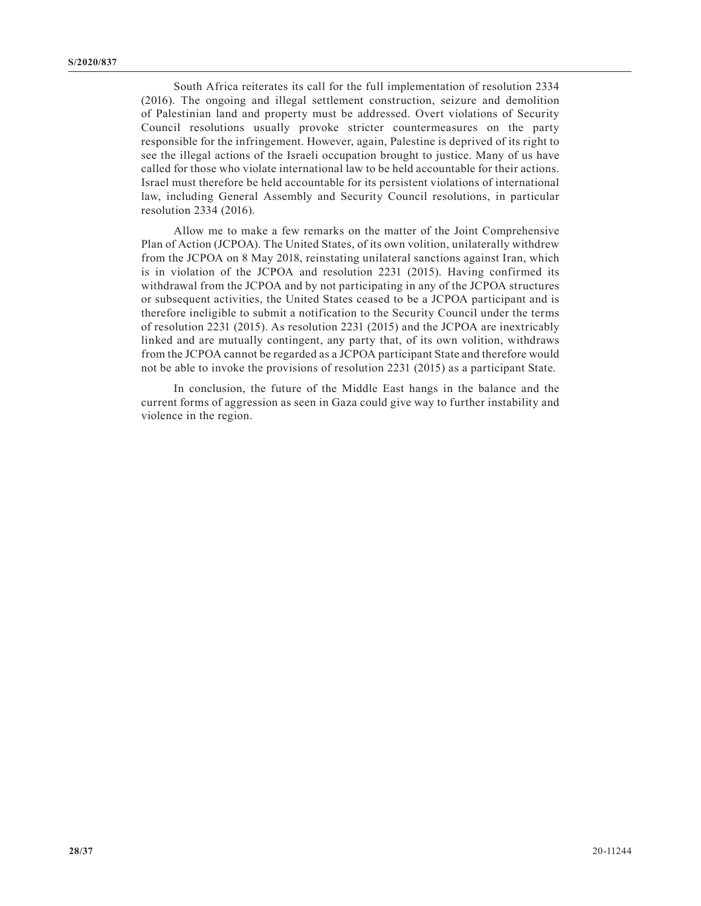South Africa reiterates its call for the full implementation of resolution 2334 (2016). The ongoing and illegal settlement construction, seizure and demolition of Palestinian land and property must be addressed. Overt violations of Security Council resolutions usually provoke stricter countermeasures on the party responsible for the infringement. However, again, Palestine is deprived of its right to see the illegal actions of the Israeli occupation brought to justice. Many of us have called for those who violate international law to be held accountable for their actions. Israel must therefore be held accountable for its persistent violations of international law, including General Assembly and Security Council resolutions, in particular resolution 2334 (2016).

Allow me to make a few remarks on the matter of the Joint Comprehensive Plan of Action (JCPOA). The United States, of its own volition, unilaterally withdrew from the JCPOA on 8 May 2018, reinstating unilateral sanctions against Iran, which is in violation of the JCPOA and resolution 2231 (2015). Having confirmed its withdrawal from the JCPOA and by not participating in any of the JCPOA structures or subsequent activities, the United States ceased to be a JCPOA participant and is therefore ineligible to submit a notification to the Security Council under the terms of resolution 2231 (2015). As resolution 2231 (2015) and the JCPOA are inextricably linked and are mutually contingent, any party that, of its own volition, withdraws from the JCPOA cannot be regarded as a JCPOA participant State and therefore would not be able to invoke the provisions of resolution 2231 (2015) as a participant State.

In conclusion, the future of the Middle East hangs in the balance and the current forms of aggression as seen in Gaza could give way to further instability and violence in the region.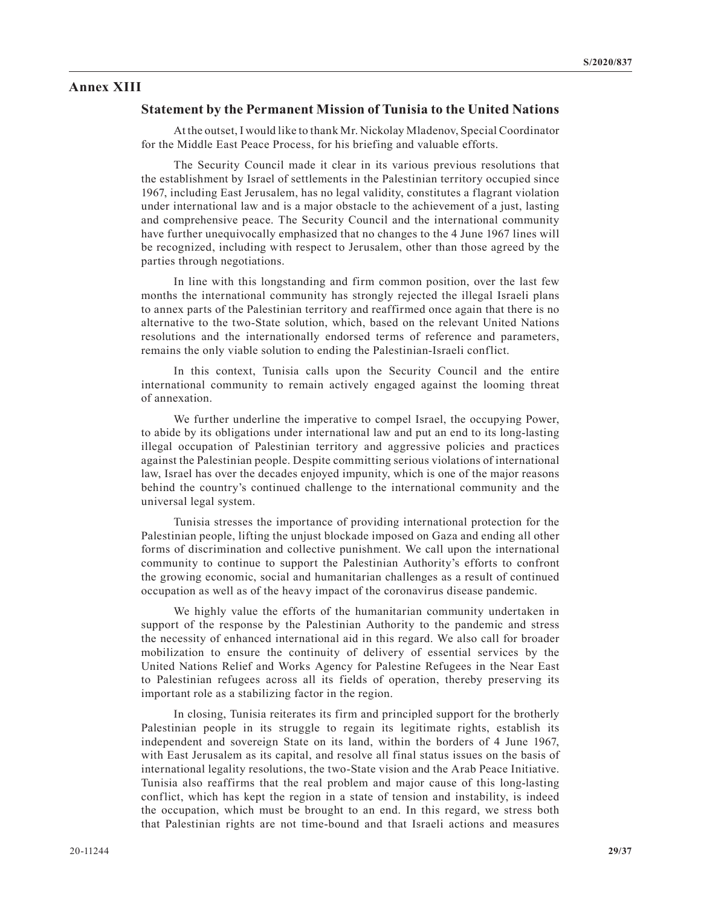## **Annex XIII**

#### **Statement by the Permanent Mission of Tunisia to the United Nations**

At the outset, I would like to thank Mr. Nickolay Mladenov, Special Coordinator for the Middle East Peace Process, for his briefing and valuable efforts.

The Security Council made it clear in its various previous resolutions that the establishment by Israel of settlements in the Palestinian territory occupied since 1967, including East Jerusalem, has no legal validity, constitutes a flagrant violation under international law and is a major obstacle to the achievement of a just, lasting and comprehensive peace. The Security Council and the international community have further unequivocally emphasized that no changes to the 4 June 1967 lines will be recognized, including with respect to Jerusalem, other than those agreed by the parties through negotiations.

In line with this longstanding and firm common position, over the last few months the international community has strongly rejected the illegal Israeli plans to annex parts of the Palestinian territory and reaffirmed once again that there is no alternative to the two-State solution, which, based on the relevant United Nations resolutions and the internationally endorsed terms of reference and parameters, remains the only viable solution to ending the Palestinian-Israeli conflict.

In this context, Tunisia calls upon the Security Council and the entire international community to remain actively engaged against the looming threat of annexation.

We further underline the imperative to compel Israel, the occupying Power, to abide by its obligations under international law and put an end to its long-lasting illegal occupation of Palestinian territory and aggressive policies and practices against the Palestinian people. Despite committing serious violations of international law, Israel has over the decades enjoyed impunity, which is one of the major reasons behind the country's continued challenge to the international community and the universal legal system.

Tunisia stresses the importance of providing international protection for the Palestinian people, lifting the unjust blockade imposed on Gaza and ending all other forms of discrimination and collective punishment. We call upon the international community to continue to support the Palestinian Authority's efforts to confront the growing economic, social and humanitarian challenges as a result of continued occupation as well as of the heavy impact of the coronavirus disease pandemic.

We highly value the efforts of the humanitarian community undertaken in support of the response by the Palestinian Authority to the pandemic and stress the necessity of enhanced international aid in this regard. We also call for broader mobilization to ensure the continuity of delivery of essential services by the United Nations Relief and Works Agency for Palestine Refugees in the Near East to Palestinian refugees across all its fields of operation, thereby preserving its important role as a stabilizing factor in the region.

In closing, Tunisia reiterates its firm and principled support for the brotherly Palestinian people in its struggle to regain its legitimate rights, establish its independent and sovereign State on its land, within the borders of 4 June 1967, with East Jerusalem as its capital, and resolve all final status issues on the basis of international legality resolutions, the two-State vision and the Arab Peace Initiative. Tunisia also reaffirms that the real problem and major cause of this long-lasting conflict, which has kept the region in a state of tension and instability, is indeed the occupation, which must be brought to an end. In this regard, we stress both that Palestinian rights are not time-bound and that Israeli actions and measures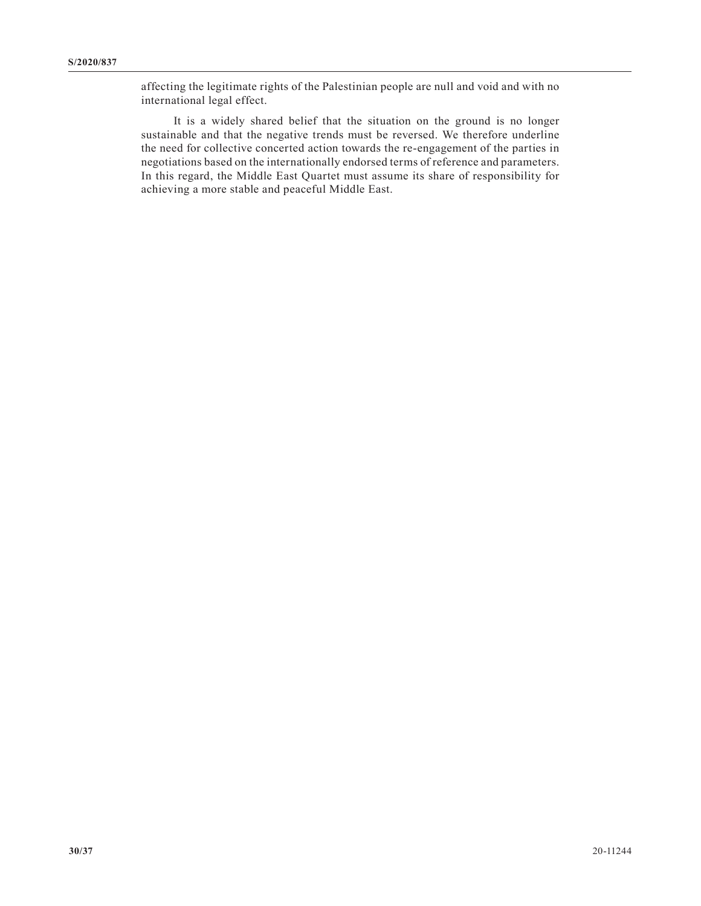affecting the legitimate rights of the Palestinian people are null and void and with no international legal effect.

It is a widely shared belief that the situation on the ground is no longer sustainable and that the negative trends must be reversed. We therefore underline the need for collective concerted action towards the re-engagement of the parties in negotiations based on the internationally endorsed terms of reference and parameters. In this regard, the Middle East Quartet must assume its share of responsibility for achieving a more stable and peaceful Middle East.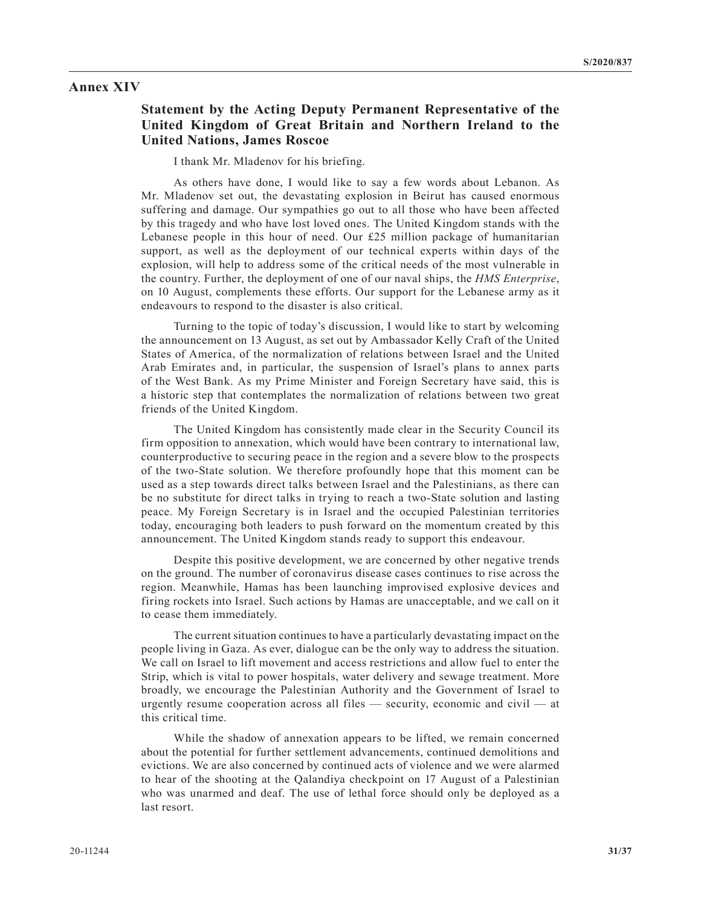#### **Annex XIV**

# **Statement by the Acting Deputy Permanent Representative of the United Kingdom of Great Britain and Northern Ireland to the United Nations, James Roscoe**

I thank Mr. Mladenov for his briefing.

As others have done, I would like to say a few words about Lebanon. As Mr. Mladenov set out, the devastating explosion in Beirut has caused enormous suffering and damage. Our sympathies go out to all those who have been affected by this tragedy and who have lost loved ones. The United Kingdom stands with the Lebanese people in this hour of need. Our £25 million package of humanitarian support, as well as the deployment of our technical experts within days of the explosion, will help to address some of the critical needs of the most vulnerable in the country. Further, the deployment of one of our naval ships, the *HMS Enterprise*, on 10 August, complements these efforts. Our support for the Lebanese army as it endeavours to respond to the disaster is also critical.

Turning to the topic of today's discussion, I would like to start by welcoming the announcement on 13 August, as set out by Ambassador Kelly Craft of the United States of America, of the normalization of relations between Israel and the United Arab Emirates and, in particular, the suspension of Israel's plans to annex parts of the West Bank. As my Prime Minister and Foreign Secretary have said, this is a historic step that contemplates the normalization of relations between two great friends of the United Kingdom.

The United Kingdom has consistently made clear in the Security Council its firm opposition to annexation, which would have been contrary to international law, counterproductive to securing peace in the region and a severe blow to the prospects of the two-State solution. We therefore profoundly hope that this moment can be used as a step towards direct talks between Israel and the Palestinians, as there can be no substitute for direct talks in trying to reach a two-State solution and lasting peace. My Foreign Secretary is in Israel and the occupied Palestinian territories today, encouraging both leaders to push forward on the momentum created by this announcement. The United Kingdom stands ready to support this endeavour.

Despite this positive development, we are concerned by other negative trends on the ground. The number of coronavirus disease cases continues to rise across the region. Meanwhile, Hamas has been launching improvised explosive devices and firing rockets into Israel. Such actions by Hamas are unacceptable, and we call on it to cease them immediately.

The current situation continues to have a particularly devastating impact on the people living in Gaza. As ever, dialogue can be the only way to address the situation. We call on Israel to lift movement and access restrictions and allow fuel to enter the Strip, which is vital to power hospitals, water delivery and sewage treatment. More broadly, we encourage the Palestinian Authority and the Government of Israel to urgently resume cooperation across all files — security, economic and civil — at this critical time.

While the shadow of annexation appears to be lifted, we remain concerned about the potential for further settlement advancements, continued demolitions and evictions. We are also concerned by continued acts of violence and we were alarmed to hear of the shooting at the Qalandiya checkpoint on 17 August of a Palestinian who was unarmed and deaf. The use of lethal force should only be deployed as a last resort.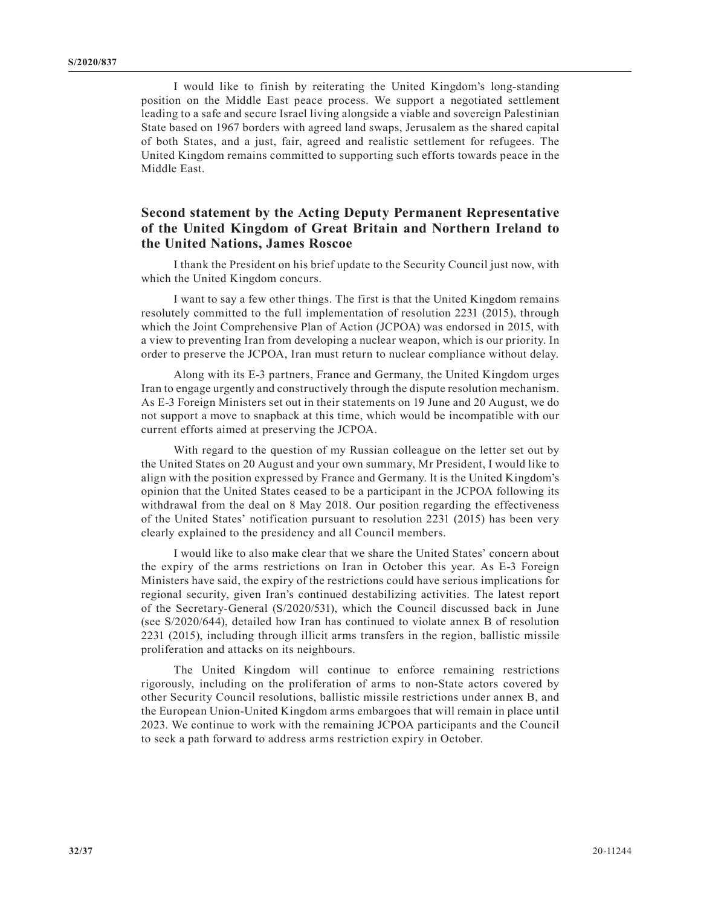I would like to finish by reiterating the United Kingdom's long-standing position on the Middle East peace process. We support a negotiated settlement leading to a safe and secure Israel living alongside a viable and sovereign Palestinian State based on 1967 borders with agreed land swaps, Jerusalem as the shared capital of both States, and a just, fair, agreed and realistic settlement for refugees. The United Kingdom remains committed to supporting such efforts towards peace in the Middle East.

# **Second statement by the Acting Deputy Permanent Representative of the United Kingdom of Great Britain and Northern Ireland to the United Nations, James Roscoe**

I thank the President on his brief update to the Security Council just now, with which the United Kingdom concurs.

I want to say a few other things. The first is that the United Kingdom remains resolutely committed to the full implementation of resolution 2231 (2015), through which the Joint Comprehensive Plan of Action (JCPOA) was endorsed in 2015, with a view to preventing Iran from developing a nuclear weapon, which is our priority. In order to preserve the JCPOA, Iran must return to nuclear compliance without delay.

Along with its E-3 partners, France and Germany, the United Kingdom urges Iran to engage urgently and constructively through the dispute resolution mechanism. As E-3 Foreign Ministers set out in their statements on 19 June and 20 August, we do not support a move to snapback at this time, which would be incompatible with our current efforts aimed at preserving the JCPOA.

With regard to the question of my Russian colleague on the letter set out by the United States on 20 August and your own summary, Mr President, I would like to align with the position expressed by France and Germany. It is the United Kingdom's opinion that the United States ceased to be a participant in the JCPOA following its withdrawal from the deal on 8 May 2018. Our position regarding the effectiveness of the United States' notification pursuant to resolution 2231 (2015) has been very clearly explained to the presidency and all Council members.

I would like to also make clear that we share the United States' concern about the expiry of the arms restrictions on Iran in October this year. As E-3 Foreign Ministers have said, the expiry of the restrictions could have serious implications for regional security, given Iran's continued destabilizing activities. The latest report of the Secretary-General (S/2020/531), which the Council discussed back in June (see S/2020/644), detailed how Iran has continued to violate annex B of resolution 2231 (2015), including through illicit arms transfers in the region, ballistic missile proliferation and attacks on its neighbours.

The United Kingdom will continue to enforce remaining restrictions rigorously, including on the proliferation of arms to non-State actors covered by other Security Council resolutions, ballistic missile restrictions under annex B, and the European Union-United Kingdom arms embargoes that will remain in place until 2023. We continue to work with the remaining JCPOA participants and the Council to seek a path forward to address arms restriction expiry in October.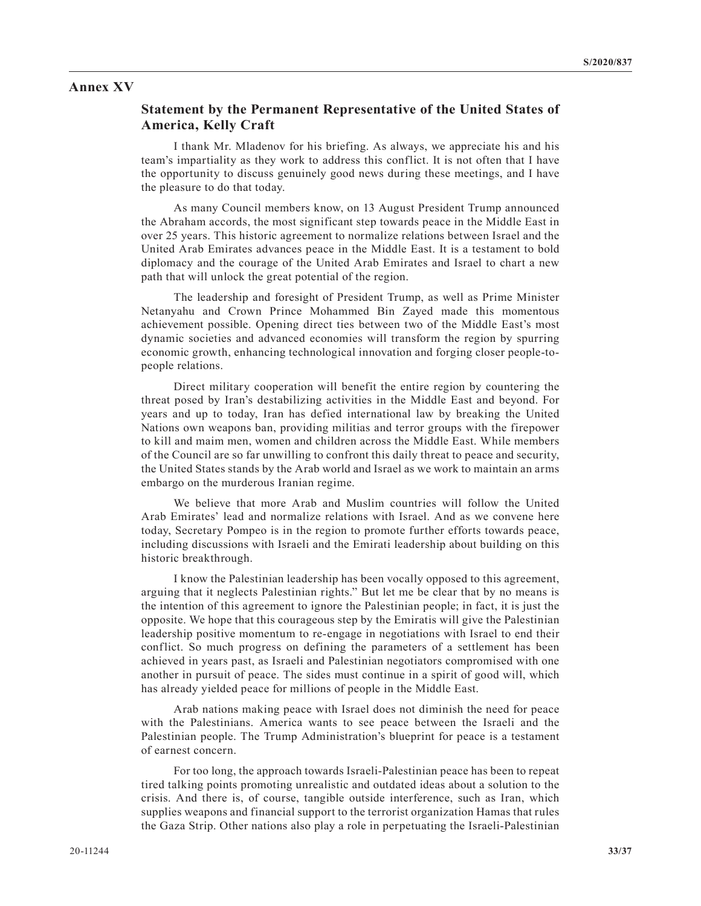#### **Annex XV**

#### **Statement by the Permanent Representative of the United States of America, Kelly Craft**

I thank Mr. Mladenov for his briefing. As always, we appreciate his and his team's impartiality as they work to address this conflict. It is not often that I have the opportunity to discuss genuinely good news during these meetings, and I have the pleasure to do that today.

As many Council members know, on 13 August President Trump announced the Abraham accords, the most significant step towards peace in the Middle East in over 25 years. This historic agreement to normalize relations between Israel and the United Arab Emirates advances peace in the Middle East. It is a testament to bold diplomacy and the courage of the United Arab Emirates and Israel to chart a new path that will unlock the great potential of the region.

The leadership and foresight of President Trump, as well as Prime Minister Netanyahu and Crown Prince Mohammed Bin Zayed made this momentous achievement possible. Opening direct ties between two of the Middle East's most dynamic societies and advanced economies will transform the region by spurring economic growth, enhancing technological innovation and forging closer people-topeople relations.

Direct military cooperation will benefit the entire region by countering the threat posed by Iran's destabilizing activities in the Middle East and beyond. For years and up to today, Iran has defied international law by breaking the United Nations own weapons ban, providing militias and terror groups with the firepower to kill and maim men, women and children across the Middle East. While members of the Council are so far unwilling to confront this daily threat to peace and security, the United States stands by the Arab world and Israel as we work to maintain an arms embargo on the murderous Iranian regime.

We believe that more Arab and Muslim countries will follow the United Arab Emirates' lead and normalize relations with Israel. And as we convene here today, Secretary Pompeo is in the region to promote further efforts towards peace, including discussions with Israeli and the Emirati leadership about building on this historic breakthrough.

I know the Palestinian leadership has been vocally opposed to this agreement, arguing that it neglects Palestinian rights." But let me be clear that by no means is the intention of this agreement to ignore the Palestinian people; in fact, it is just the opposite. We hope that this courageous step by the Emiratis will give the Palestinian leadership positive momentum to re-engage in negotiations with Israel to end their conflict. So much progress on defining the parameters of a settlement has been achieved in years past, as Israeli and Palestinian negotiators compromised with one another in pursuit of peace. The sides must continue in a spirit of good will, which has already yielded peace for millions of people in the Middle East.

Arab nations making peace with Israel does not diminish the need for peace with the Palestinians. America wants to see peace between the Israeli and the Palestinian people. The Trump Administration's blueprint for peace is a testament of earnest concern.

For too long, the approach towards Israeli-Palestinian peace has been to repeat tired talking points promoting unrealistic and outdated ideas about a solution to the crisis. And there is, of course, tangible outside interference, such as Iran, which supplies weapons and financial support to the terrorist organization Hamas that rules the Gaza Strip. Other nations also play a role in perpetuating the Israeli-Palestinian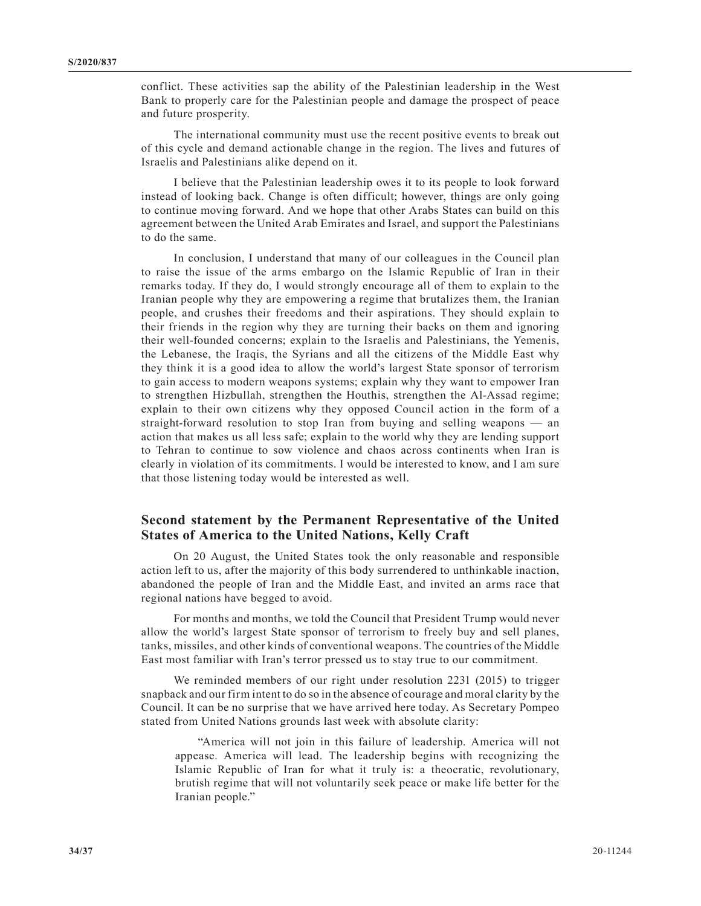conflict. These activities sap the ability of the Palestinian leadership in the West Bank to properly care for the Palestinian people and damage the prospect of peace and future prosperity.

The international community must use the recent positive events to break out of this cycle and demand actionable change in the region. The lives and futures of Israelis and Palestinians alike depend on it.

I believe that the Palestinian leadership owes it to its people to look forward instead of looking back. Change is often difficult; however, things are only going to continue moving forward. And we hope that other Arabs States can build on this agreement between the United Arab Emirates and Israel, and support the Palestinians to do the same.

In conclusion, I understand that many of our colleagues in the Council plan to raise the issue of the arms embargo on the Islamic Republic of Iran in their remarks today. If they do, I would strongly encourage all of them to explain to the Iranian people why they are empowering a regime that brutalizes them, the Iranian people, and crushes their freedoms and their aspirations. They should explain to their friends in the region why they are turning their backs on them and ignoring their well-founded concerns; explain to the Israelis and Palestinians, the Yemenis, the Lebanese, the Iraqis, the Syrians and all the citizens of the Middle East why they think it is a good idea to allow the world's largest State sponsor of terrorism to gain access to modern weapons systems; explain why they want to empower Iran to strengthen Hizbullah, strengthen the Houthis, strengthen the Al-Assad regime; explain to their own citizens why they opposed Council action in the form of a straight-forward resolution to stop Iran from buying and selling weapons — an action that makes us all less safe; explain to the world why they are lending support to Tehran to continue to sow violence and chaos across continents when Iran is clearly in violation of its commitments. I would be interested to know, and I am sure that those listening today would be interested as well.

## **Second statement by the Permanent Representative of the United States of America to the United Nations, Kelly Craft**

On 20 August, the United States took the only reasonable and responsible action left to us, after the majority of this body surrendered to unthinkable inaction, abandoned the people of Iran and the Middle East, and invited an arms race that regional nations have begged to avoid.

For months and months, we told the Council that President Trump would never allow the world's largest State sponsor of terrorism to freely buy and sell planes, tanks, missiles, and other kinds of conventional weapons. The countries of the Middle East most familiar with Iran's terror pressed us to stay true to our commitment.

We reminded members of our right under resolution 2231 (2015) to trigger snapback and our firm intent to do so in the absence of courage and moral clarity by the Council. It can be no surprise that we have arrived here today. As Secretary Pompeo stated from United Nations grounds last week with absolute clarity:

"America will not join in this failure of leadership. America will not appease. America will lead. The leadership begins with recognizing the Islamic Republic of Iran for what it truly is: a theocratic, revolutionary, brutish regime that will not voluntarily seek peace or make life better for the Iranian people."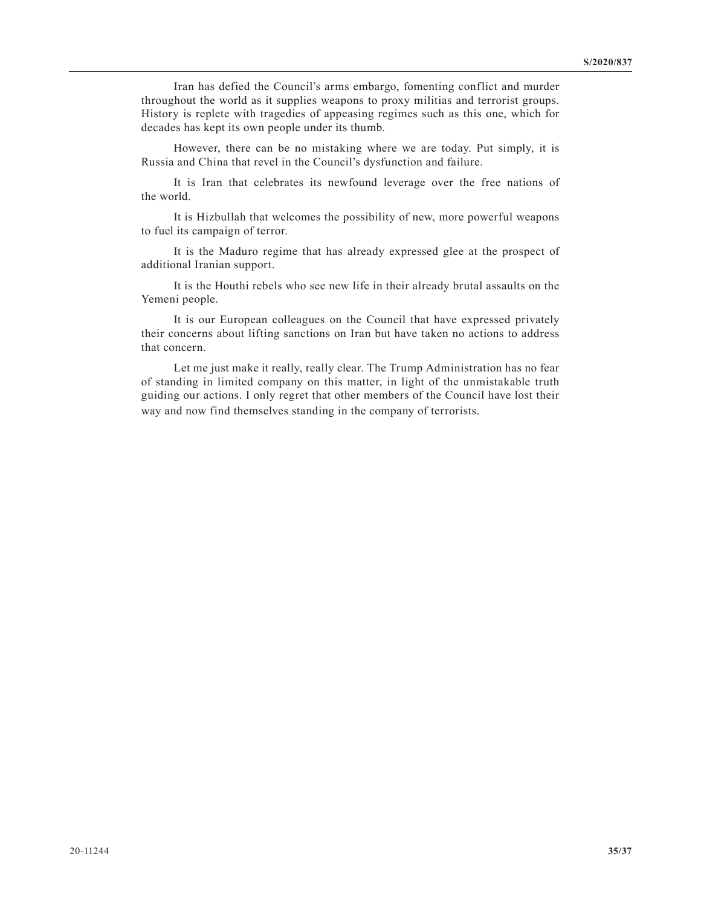Iran has defied the Council's arms embargo, fomenting conflict and murder throughout the world as it supplies weapons to proxy militias and terrorist groups. History is replete with tragedies of appeasing regimes such as this one, which for decades has kept its own people under its thumb.

However, there can be no mistaking where we are today. Put simply, it is Russia and China that revel in the Council's dysfunction and failure.

It is Iran that celebrates its newfound leverage over the free nations of the world.

It is Hizbullah that welcomes the possibility of new, more powerful weapons to fuel its campaign of terror.

It is the Maduro regime that has already expressed glee at the prospect of additional Iranian support.

It is the Houthi rebels who see new life in their already brutal assaults on the Yemeni people.

It is our European colleagues on the Council that have expressed privately their concerns about lifting sanctions on Iran but have taken no actions to address that concern.

Let me just make it really, really clear. The Trump Administration has no fear of standing in limited company on this matter, in light of the unmistakable truth guiding our actions. I only regret that other members of the Council have lost their way and now find themselves standing in the company of terrorists.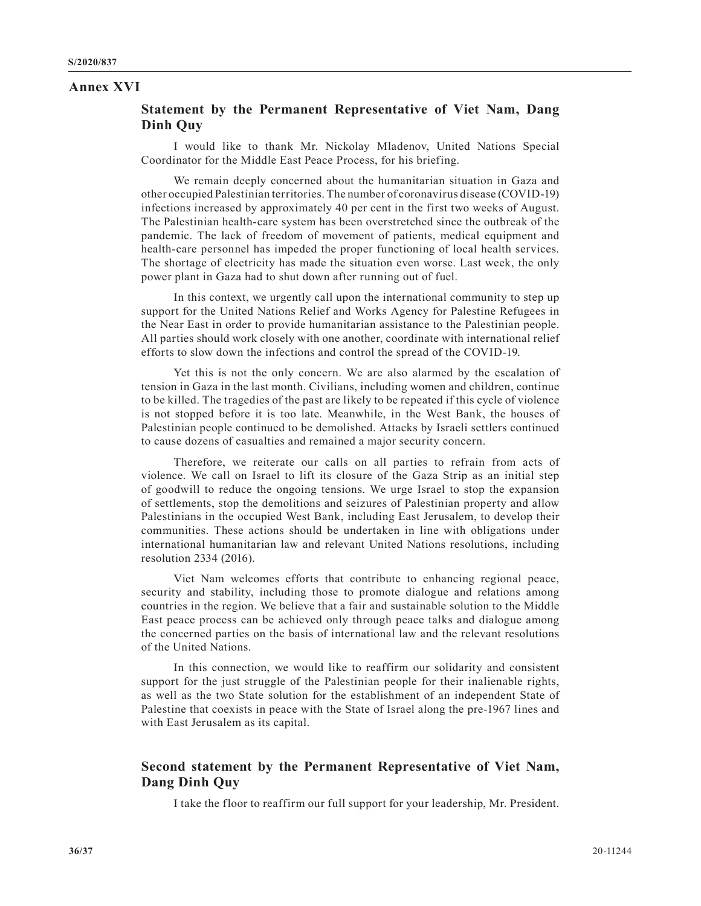#### **Annex XVI**

## **Statement by the Permanent Representative of Viet Nam, Dang Dinh Quy**

I would like to thank Mr. Nickolay Mladenov, United Nations Special Coordinator for the Middle East Peace Process, for his briefing.

We remain deeply concerned about the humanitarian situation in Gaza and other occupied Palestinian territories. The number of coronavirus disease (COVID-19) infections increased by approximately 40 per cent in the first two weeks of August. The Palestinian health-care system has been overstretched since the outbreak of the pandemic. The lack of freedom of movement of patients, medical equipment and health-care personnel has impeded the proper functioning of local health services. The shortage of electricity has made the situation even worse. Last week, the only power plant in Gaza had to shut down after running out of fuel.

In this context, we urgently call upon the international community to step up support for the United Nations Relief and Works Agency for Palestine Refugees in the Near East in order to provide humanitarian assistance to the Palestinian people. All parties should work closely with one another, coordinate with international relief efforts to slow down the infections and control the spread of the COVID-19.

Yet this is not the only concern. We are also alarmed by the escalation of tension in Gaza in the last month. Civilians, including women and children, continue to be killed. The tragedies of the past are likely to be repeated if this cycle of violence is not stopped before it is too late. Meanwhile, in the West Bank, the houses of Palestinian people continued to be demolished. Attacks by Israeli settlers continued to cause dozens of casualties and remained a major security concern.

Therefore, we reiterate our calls on all parties to refrain from acts of violence. We call on Israel to lift its closure of the Gaza Strip as an initial step of goodwill to reduce the ongoing tensions. We urge Israel to stop the expansion of settlements, stop the demolitions and seizures of Palestinian property and allow Palestinians in the occupied West Bank, including East Jerusalem, to develop their communities. These actions should be undertaken in line with obligations under international humanitarian law and relevant United Nations resolutions, including resolution 2334 (2016).

Viet Nam welcomes efforts that contribute to enhancing regional peace, security and stability, including those to promote dialogue and relations among countries in the region. We believe that a fair and sustainable solution to the Middle East peace process can be achieved only through peace talks and dialogue among the concerned parties on the basis of international law and the relevant resolutions of the United Nations.

In this connection, we would like to reaffirm our solidarity and consistent support for the just struggle of the Palestinian people for their inalienable rights, as well as the two State solution for the establishment of an independent State of Palestine that coexists in peace with the State of Israel along the pre-1967 lines and with East Jerusalem as its capital.

## **Second statement by the Permanent Representative of Viet Nam, Dang Dinh Quy**

I take the floor to reaffirm our full support for your leadership, Mr. President.